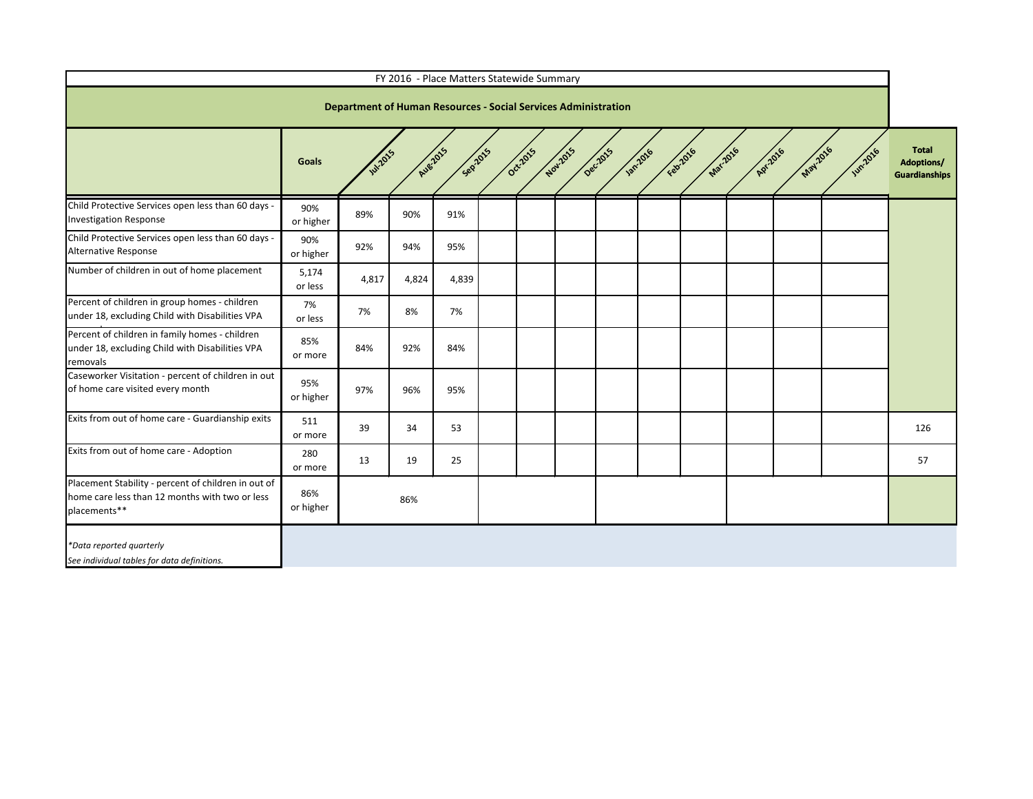|                                                                                                                       |                  |                                                                       |          | FY 2016 - Place Matters Statewide Summary |  |  |  |                                                          |          |                |                                                           |
|-----------------------------------------------------------------------------------------------------------------------|------------------|-----------------------------------------------------------------------|----------|-------------------------------------------|--|--|--|----------------------------------------------------------|----------|----------------|-----------------------------------------------------------|
|                                                                                                                       |                  | <b>Department of Human Resources - Social Services Administration</b> |          |                                           |  |  |  |                                                          |          |                |                                                           |
|                                                                                                                       | <b>Goals</b>     | <b>W12015</b>                                                         | Aue-2015 | Septers                                   |  |  |  | Occipit's dovidats decides various regards wards paradio | May 2016 | <b>Wh.2016</b> | <b>Total</b><br><b>Adoptions/</b><br><b>Guardianships</b> |
| Child Protective Services open less than 60 days -<br><b>Investigation Response</b>                                   | 90%<br>or higher | 89%                                                                   | 90%      | 91%                                       |  |  |  |                                                          |          |                |                                                           |
| Child Protective Services open less than 60 days -<br>Alternative Response                                            | 90%<br>or higher | 92%                                                                   | 94%      | 95%                                       |  |  |  |                                                          |          |                |                                                           |
| Number of children in out of home placement                                                                           | 5,174<br>or less | 4,817                                                                 | 4,824    | 4,839                                     |  |  |  |                                                          |          |                |                                                           |
| Percent of children in group homes - children<br>under 18, excluding Child with Disabilities VPA                      | 7%<br>or less    | 7%                                                                    | 8%       | 7%                                        |  |  |  |                                                          |          |                |                                                           |
| Percent of children in family homes - children<br>under 18, excluding Child with Disabilities VPA<br>removals         | 85%<br>or more   | 84%                                                                   | 92%      | 84%                                       |  |  |  |                                                          |          |                |                                                           |
| Caseworker Visitation - percent of children in out<br>of home care visited every month                                | 95%<br>or higher | 97%                                                                   | 96%      | 95%                                       |  |  |  |                                                          |          |                |                                                           |
| Exits from out of home care - Guardianship exits                                                                      | 511<br>or more   | 39                                                                    | 34       | 53                                        |  |  |  |                                                          |          |                | 126                                                       |
| Exits from out of home care - Adoption                                                                                | 280<br>or more   | 13                                                                    | 19       | 25                                        |  |  |  |                                                          |          |                | 57                                                        |
| Placement Stability - percent of children in out of<br>home care less than 12 months with two or less<br>placements** | 86%<br>or higher |                                                                       | 86%      |                                           |  |  |  |                                                          |          |                |                                                           |
| *Data reported quarterly<br>See individual tables for data definitions.                                               |                  |                                                                       |          |                                           |  |  |  |                                                          |          |                |                                                           |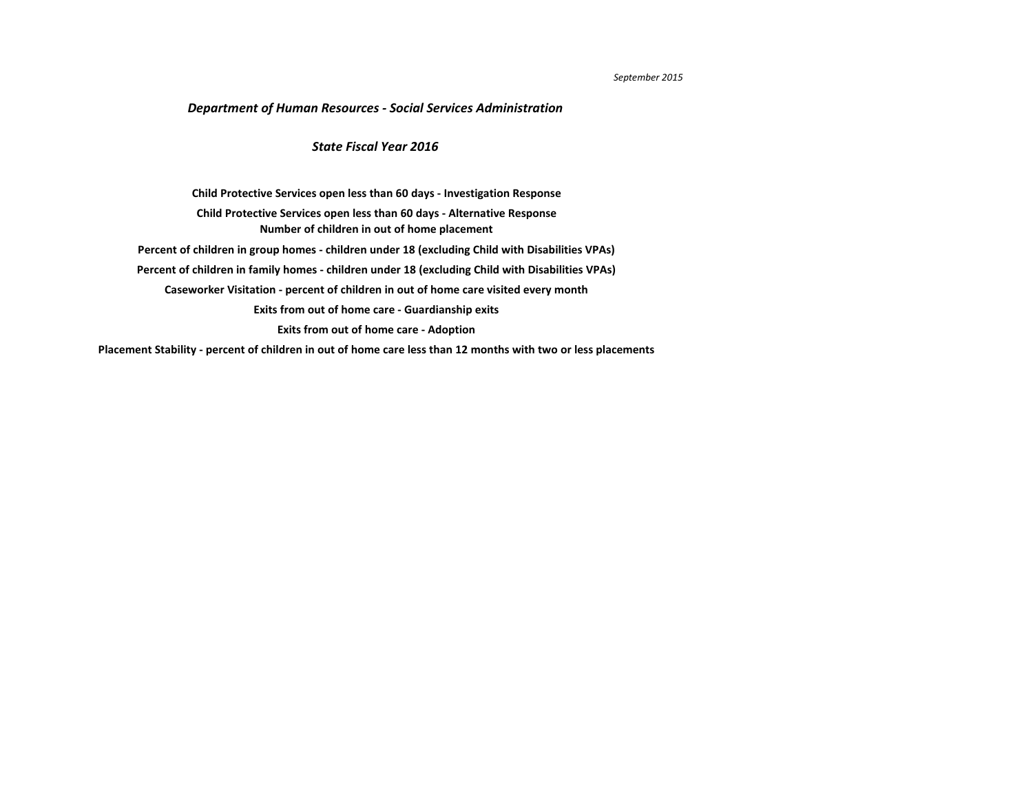## *September 2015*

**[Placement Stability - percent of children in out of home care less than 12 months with two or less placements](#page-10-0)**

## *Department of Human Resources - Social Services Administration*

**[Caseworker Visitation - percent of children in out of home care visited every month](#page-7-0) [Exits from out of home care - Guardianship exits](#page-8-0) [Exits from out of home care - Adoption](#page-9-0) [Child Protective Services open less than 60 days - Investigation Response](#page-2-0) [Number of children in out of home placement](#page-4-0) [Child Protective Services open less than 60 days - Alternative Response](#page-3-0) [Percent of children in group homes - children under 18 \(excluding Child with Disabilities VPAs\)](#page-5-0) [Percent of children in family homes - children under 18 \(excluding Child with Disabilities VPAs\)](#page-6-0)**

## *State Fiscal Year 2016*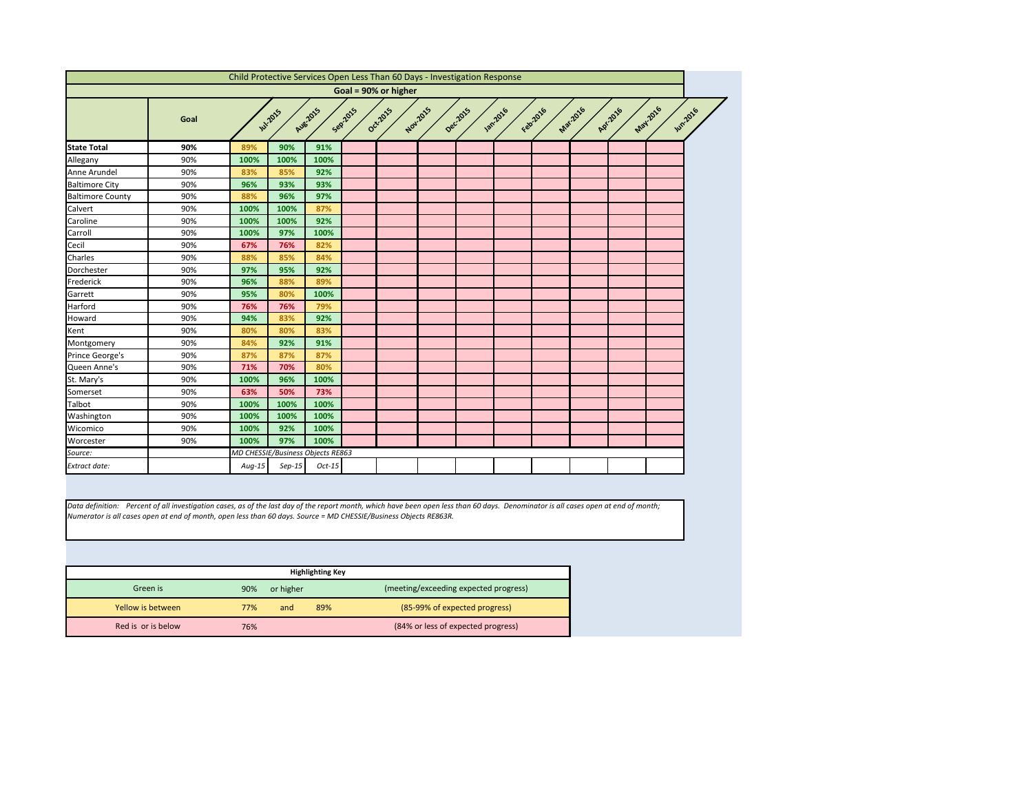<span id="page-2-0"></span>

|                         |      |          |                                   |          |         | Child Protective Services Open Less Than 60 Days - Investigation Response |          |          |                |          |                 |                     |                |  |
|-------------------------|------|----------|-----------------------------------|----------|---------|---------------------------------------------------------------------------|----------|----------|----------------|----------|-----------------|---------------------|----------------|--|
|                         |      |          |                                   |          |         | Goal = 90% or higher                                                      |          |          |                |          |                 |                     |                |  |
|                         | Goal |          | <b>Jul-2015</b>                   | Aug-2015 | Sep2015 | Oct-2015                                                                  | Nov.2015 | Dec.2015 | <b>1201016</b> | Febr2016 | <b>Mar.2016</b> | May2016<br>Apr.2016 | <b>Jun2016</b> |  |
| <b>State Total</b>      | 90%  | 89%      | 90%                               | 91%      |         |                                                                           |          |          |                |          |                 |                     |                |  |
| Allegany                | 90%  | 100%     | 100%                              | 100%     |         |                                                                           |          |          |                |          |                 |                     |                |  |
| Anne Arundel            | 90%  | 83%      | 85%                               | 92%      |         |                                                                           |          |          |                |          |                 |                     |                |  |
| <b>Baltimore City</b>   | 90%  | 96%      | 93%                               | 93%      |         |                                                                           |          |          |                |          |                 |                     |                |  |
| <b>Baltimore County</b> | 90%  | 88%      | 96%                               | 97%      |         |                                                                           |          |          |                |          |                 |                     |                |  |
| Calvert                 | 90%  | 100%     | 100%                              | 87%      |         |                                                                           |          |          |                |          |                 |                     |                |  |
| Caroline                | 90%  | 100%     | 100%                              | 92%      |         |                                                                           |          |          |                |          |                 |                     |                |  |
| Carroll                 | 90%  | 100%     | 97%                               | 100%     |         |                                                                           |          |          |                |          |                 |                     |                |  |
| Cecil                   | 90%  | 67%      | 76%                               | 82%      |         |                                                                           |          |          |                |          |                 |                     |                |  |
| Charles                 | 90%  | 88%      | 85%                               | 84%      |         |                                                                           |          |          |                |          |                 |                     |                |  |
| Dorchester              | 90%  | 97%      | 95%                               | 92%      |         |                                                                           |          |          |                |          |                 |                     |                |  |
| Frederick               | 90%  | 96%      | 88%                               | 89%      |         |                                                                           |          |          |                |          |                 |                     |                |  |
| Garrett                 | 90%  | 95%      | 80%                               | 100%     |         |                                                                           |          |          |                |          |                 |                     |                |  |
| Harford                 | 90%  | 76%      | 76%                               | 79%      |         |                                                                           |          |          |                |          |                 |                     |                |  |
| Howard                  | 90%  | 94%      | 83%                               | 92%      |         |                                                                           |          |          |                |          |                 |                     |                |  |
| Kent                    | 90%  | 80%      | 80%                               | 83%      |         |                                                                           |          |          |                |          |                 |                     |                |  |
| Montgomery              | 90%  | 84%      | 92%                               | 91%      |         |                                                                           |          |          |                |          |                 |                     |                |  |
| Prince George's         | 90%  | 87%      | 87%                               | 87%      |         |                                                                           |          |          |                |          |                 |                     |                |  |
| Queen Anne's            | 90%  | 71%      | 70%                               | 80%      |         |                                                                           |          |          |                |          |                 |                     |                |  |
| St. Mary's              | 90%  | 100%     | 96%                               | 100%     |         |                                                                           |          |          |                |          |                 |                     |                |  |
| Somerset                | 90%  | 63%      | 50%                               | 73%      |         |                                                                           |          |          |                |          |                 |                     |                |  |
| Talbot                  | 90%  | 100%     | 100%                              | 100%     |         |                                                                           |          |          |                |          |                 |                     |                |  |
| Washington              | 90%  | 100%     | 100%                              | 100%     |         |                                                                           |          |          |                |          |                 |                     |                |  |
| Wicomico                | 90%  | 100%     | 92%                               | 100%     |         |                                                                           |          |          |                |          |                 |                     |                |  |
| Worcester               | 90%  | 100%     | 97%                               | 100%     |         |                                                                           |          |          |                |          |                 |                     |                |  |
| Source:                 |      |          | MD CHESSIE/Business Objects RE863 |          |         |                                                                           |          |          |                |          |                 |                     |                |  |
| <b>Extract date:</b>    |      | $Aug-15$ | $Sep-15$                          | $Oct-15$ |         |                                                                           |          |          |                |          |                 |                     |                |  |

|                    |     |           | <b>Highlighting Key</b> |                                       |
|--------------------|-----|-----------|-------------------------|---------------------------------------|
| Green is           | 90% | or higher |                         | (meeting/exceeding expected progress) |
| Yellow is between  | 77% | and       | 89%                     | (85-99% of expected progress)         |
| Red is or is below | 76% |           |                         | (84% or less of expected progress)    |



*Data definition: Percent of all investigation cases, as of the last day of the report month, which have been open less than 60 days. Denominator is all cases open at end of month; Numerator is all cases open at end of month, open less than 60 days. Source = MD CHESSIE/Business Objects RE863R.*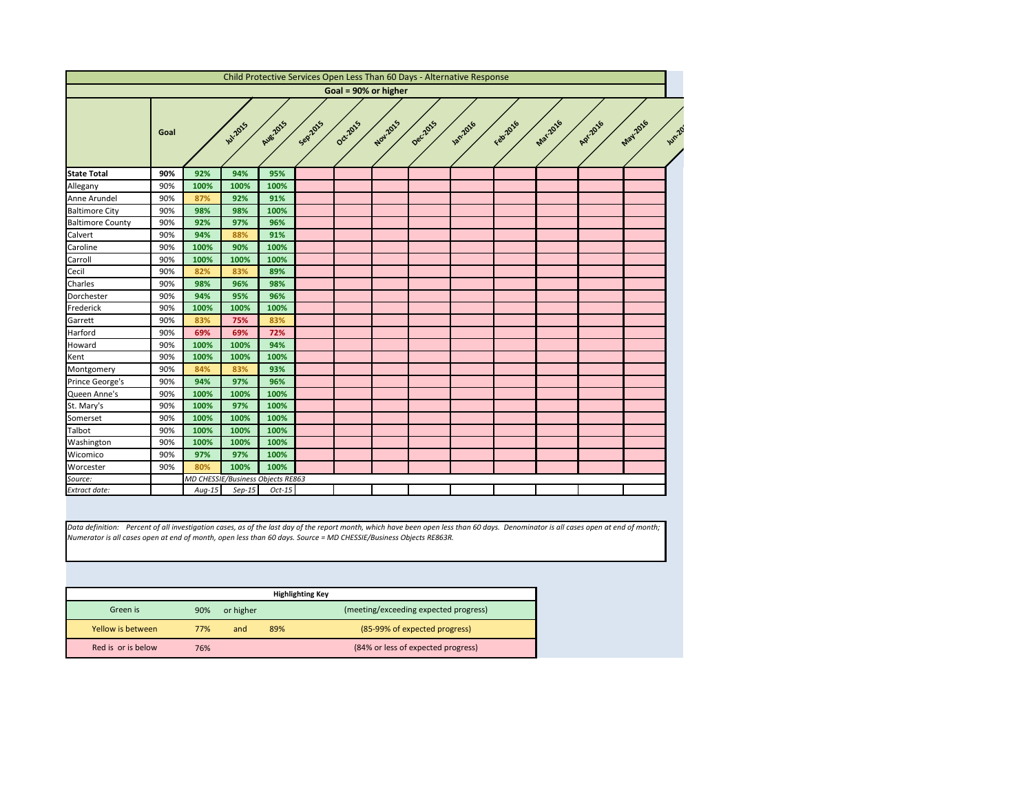<span id="page-3-0"></span>

|                         |      |      |                                   |                      |         |                      |          |          | Child Protective Services Open Less Than 60 Days - Alternative Response |           |                 |          |         |
|-------------------------|------|------|-----------------------------------|----------------------|---------|----------------------|----------|----------|-------------------------------------------------------------------------|-----------|-----------------|----------|---------|
|                         |      |      |                                   |                      |         | Goal = 90% or higher |          |          |                                                                         |           |                 |          |         |
|                         | Goal |      | <b>W.2015</b>                     | Aug.2015             | Sep2015 | Oct2015              | Nov.2015 | Dec.2015 | <b>1</b> 2016                                                           | Februarie | <b>Mar.2016</b> | Apr.2016 | May2016 |
| <b>State Total</b>      | 90%  | 92%  | 94%                               | 95%                  |         |                      |          |          |                                                                         |           |                 |          |         |
| Allegany                | 90%  | 100% | 100%                              | 100%                 |         |                      |          |          |                                                                         |           |                 |          |         |
| Anne Arundel            | 90%  | 87%  | 92%                               | 91%                  |         |                      |          |          |                                                                         |           |                 |          |         |
| <b>Baltimore City</b>   | 90%  | 98%  | 98%                               | 100%                 |         |                      |          |          |                                                                         |           |                 |          |         |
| <b>Baltimore County</b> | 90%  | 92%  | 97%                               | 96%                  |         |                      |          |          |                                                                         |           |                 |          |         |
| Calvert                 | 90%  | 94%  | 88%                               | 91%                  |         |                      |          |          |                                                                         |           |                 |          |         |
| Caroline                | 90%  | 100% | 90%                               | 100%                 |         |                      |          |          |                                                                         |           |                 |          |         |
| Carroll                 | 90%  | 100% | 100%                              | 100%                 |         |                      |          |          |                                                                         |           |                 |          |         |
| Cecil                   | 90%  | 82%  | 83%                               | 89%                  |         |                      |          |          |                                                                         |           |                 |          |         |
| Charles                 | 90%  | 98%  | 96%                               | 98%                  |         |                      |          |          |                                                                         |           |                 |          |         |
| Dorchester              | 90%  | 94%  | 95%                               | 96%                  |         |                      |          |          |                                                                         |           |                 |          |         |
| Frederick               | 90%  | 100% | 100%                              | 100%                 |         |                      |          |          |                                                                         |           |                 |          |         |
| Garrett                 | 90%  | 83%  | 75%                               | 83%                  |         |                      |          |          |                                                                         |           |                 |          |         |
| Harford                 | 90%  | 69%  | 69%                               | 72%                  |         |                      |          |          |                                                                         |           |                 |          |         |
| Howard                  | 90%  | 100% | 100%                              | 94%                  |         |                      |          |          |                                                                         |           |                 |          |         |
| Kent                    | 90%  | 100% | 100%                              | 100%                 |         |                      |          |          |                                                                         |           |                 |          |         |
| Montgomery              | 90%  | 84%  | 83%                               | 93%                  |         |                      |          |          |                                                                         |           |                 |          |         |
| Prince George's         | 90%  | 94%  | 97%                               | 96%                  |         |                      |          |          |                                                                         |           |                 |          |         |
| Queen Anne's            | 90%  | 100% | 100%                              | 100%                 |         |                      |          |          |                                                                         |           |                 |          |         |
| St. Mary's              | 90%  | 100% | 97%                               | 100%                 |         |                      |          |          |                                                                         |           |                 |          |         |
| Somerset                | 90%  | 100% | 100%                              | 100%                 |         |                      |          |          |                                                                         |           |                 |          |         |
| <b>Talbot</b>           | 90%  | 100% | 100%                              | 100%                 |         |                      |          |          |                                                                         |           |                 |          |         |
| Washington              | 90%  | 100% | 100%                              | 100%                 |         |                      |          |          |                                                                         |           |                 |          |         |
| Wicomico                | 90%  | 97%  | 97%                               | 100%                 |         |                      |          |          |                                                                         |           |                 |          |         |
| Worcester               | 90%  | 80%  | 100%                              | 100%                 |         |                      |          |          |                                                                         |           |                 |          |         |
|                         |      |      | MD CHESSIE/Business Objects RE863 |                      |         |                      |          |          |                                                                         |           |                 |          |         |
| Source:                 |      |      |                                   | $Sep-15$<br>$Oct-15$ |         |                      |          |          |                                                                         |           |                 |          |         |

|                    |     |           | <b>Highlighting Key</b> |                                       |
|--------------------|-----|-----------|-------------------------|---------------------------------------|
| Green is           | 90% | or higher |                         | (meeting/exceeding expected progress) |
| Yellow is between  | 77% | and       | 89%                     | (85-99% of expected progress)         |
| Red is or is below | 76% |           |                         | (84% or less of expected progress)    |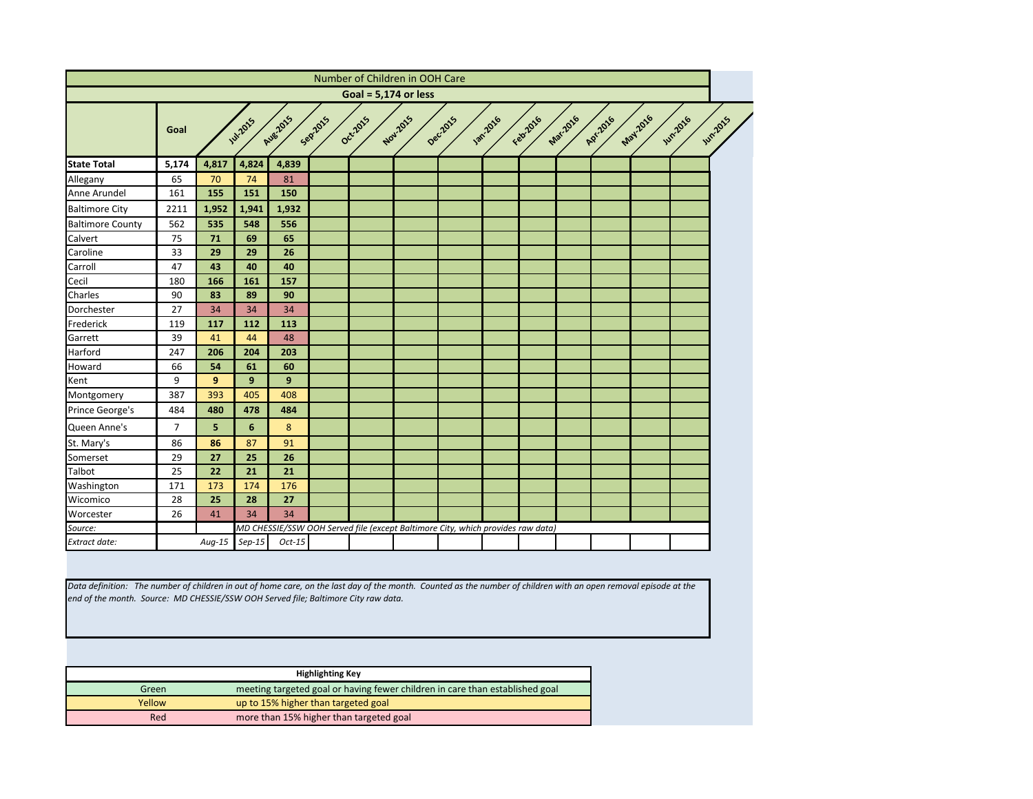<span id="page-4-0"></span>

|                         |                |                |                 |          |         |          | Number of Children in OOH Care                                                  |         |                 |           |          |          |                 |                                  |
|-------------------------|----------------|----------------|-----------------|----------|---------|----------|---------------------------------------------------------------------------------|---------|-----------------|-----------|----------|----------|-----------------|----------------------------------|
|                         |                |                |                 |          |         |          | Goal = $5,174$ or less                                                          |         |                 |           |          |          |                 |                                  |
|                         | Goal           |                | <b>Jul-2015</b> | Aug 2015 | Seprans | Oct-2015 | Nov.2015                                                                        | Deczozs | <b>130:2016</b> | Februario | Mar.2016 | Apr.2016 | <b>May 2016</b> | <b>Jun2015</b><br><b>Wh.2016</b> |
| <b>State Total</b>      | 5,174          | 4,817          | 4,824           | 4,839    |         |          |                                                                                 |         |                 |           |          |          |                 |                                  |
| Allegany                | 65             | 70             | 74              | 81       |         |          |                                                                                 |         |                 |           |          |          |                 |                                  |
| Anne Arundel            | 161            | 155            | 151             | 150      |         |          |                                                                                 |         |                 |           |          |          |                 |                                  |
| <b>Baltimore City</b>   | 2211           | 1,952          | 1,941           | 1,932    |         |          |                                                                                 |         |                 |           |          |          |                 |                                  |
| <b>Baltimore County</b> | 562            | 535            | 548             | 556      |         |          |                                                                                 |         |                 |           |          |          |                 |                                  |
| Calvert                 | 75             | 71             | 69              | 65       |         |          |                                                                                 |         |                 |           |          |          |                 |                                  |
| Caroline                | 33             | 29             | 29              | 26       |         |          |                                                                                 |         |                 |           |          |          |                 |                                  |
| Carroll                 | 47             | 43             | 40              | 40       |         |          |                                                                                 |         |                 |           |          |          |                 |                                  |
| Cecil                   | 180            | 166            | 161             | 157      |         |          |                                                                                 |         |                 |           |          |          |                 |                                  |
| Charles                 | 90             | 83             | 89              | 90       |         |          |                                                                                 |         |                 |           |          |          |                 |                                  |
| Dorchester              | 27             | 34             | 34              | 34       |         |          |                                                                                 |         |                 |           |          |          |                 |                                  |
| Frederick               | 119            | 117            | 112             | 113      |         |          |                                                                                 |         |                 |           |          |          |                 |                                  |
| Garrett                 | 39             | 41             | 44              | 48       |         |          |                                                                                 |         |                 |           |          |          |                 |                                  |
| Harford                 | 247            | 206            | 204             | 203      |         |          |                                                                                 |         |                 |           |          |          |                 |                                  |
| Howard                  | 66             | 54             | 61              | 60       |         |          |                                                                                 |         |                 |           |          |          |                 |                                  |
| Kent                    | 9              | 9              | 9               | 9        |         |          |                                                                                 |         |                 |           |          |          |                 |                                  |
| Montgomery              | 387            | 393            | 405             | 408      |         |          |                                                                                 |         |                 |           |          |          |                 |                                  |
| Prince George's         | 484            | 480            | 478             | 484      |         |          |                                                                                 |         |                 |           |          |          |                 |                                  |
| Queen Anne's            | $\overline{7}$ | 5 <sup>5</sup> | $6\phantom{1}$  | 8        |         |          |                                                                                 |         |                 |           |          |          |                 |                                  |
| St. Mary's              | 86             | 86             | 87              | 91       |         |          |                                                                                 |         |                 |           |          |          |                 |                                  |
| Somerset                | 29             | 27             | 25              | 26       |         |          |                                                                                 |         |                 |           |          |          |                 |                                  |
| Talbot                  | 25             | 22             | 21              | 21       |         |          |                                                                                 |         |                 |           |          |          |                 |                                  |
| Washington              | 171            | 173            | 174             | 176      |         |          |                                                                                 |         |                 |           |          |          |                 |                                  |
| Wicomico                | 28             | 25             | 28              | 27       |         |          |                                                                                 |         |                 |           |          |          |                 |                                  |
| Worcester               | 26             | 41             | 34              | 34       |         |          |                                                                                 |         |                 |           |          |          |                 |                                  |
| Source:                 |                |                |                 |          |         |          | MD CHESSIE/SSW OOH Served file (except Baltimore City, which provides raw data) |         |                 |           |          |          |                 |                                  |
| <b>Extract date:</b>    |                | $Aug-15$       | $Sep-15$        | $Oct-15$ |         |          |                                                                                 |         |                 |           |          |          |                 |                                  |

*Data definition: The number of children in out of home care, on the last day of the month. Counted as the number of children with an open removal episode at the end of the month. Source: MD CHESSIE/SSW OOH Served file; Baltimore City raw data.*

|        | <b>Highlighting Key</b>                                                      |
|--------|------------------------------------------------------------------------------|
| Green  | meeting targeted goal or having fewer children in care than established goal |
| Yellow | up to 15% higher than targeted goal                                          |
| Red    | more than 15% higher than targeted goal                                      |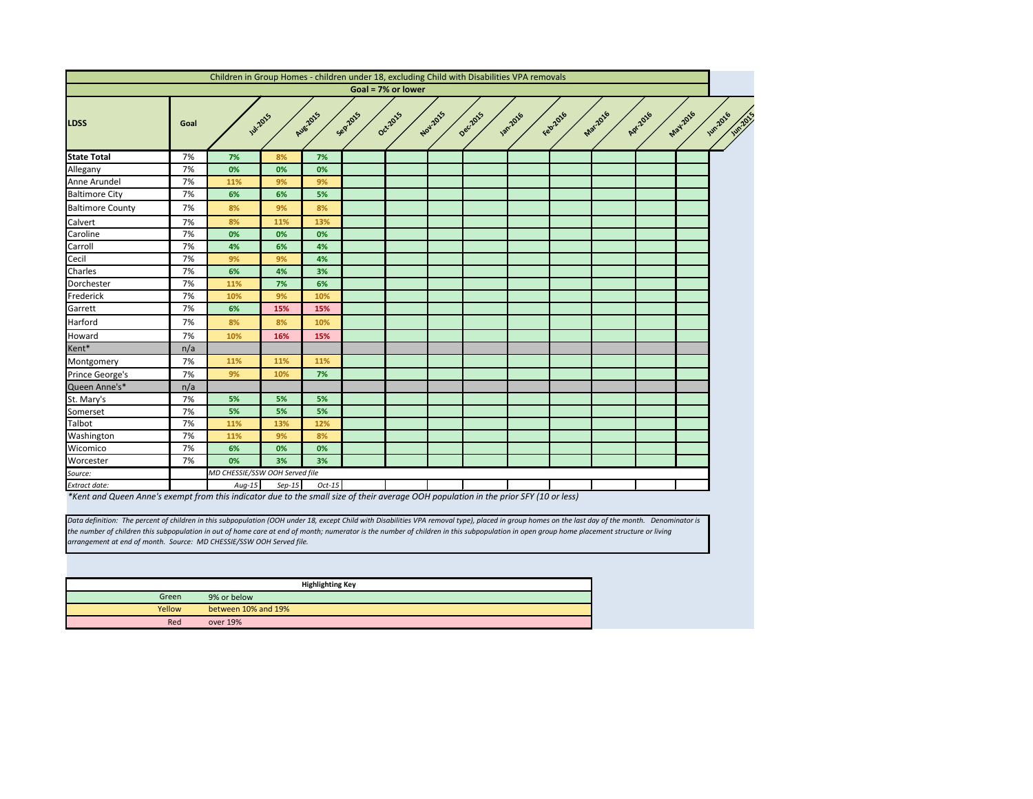

<span id="page-5-0"></span>

|                         |      | Children in Group Homes - children under 18, excluding Child with Disabilities VPA removals |          |                          |                                                   |                    |          |          |                 |                |         |          |                    |
|-------------------------|------|---------------------------------------------------------------------------------------------|----------|--------------------------|---------------------------------------------------|--------------------|----------|----------|-----------------|----------------|---------|----------|--------------------|
|                         |      |                                                                                             |          |                          |                                                   | Goal = 7% or lower |          |          |                 |                |         |          |                    |
| <b>LDSS</b>             | Goal | <b>Jul-2015</b>                                                                             |          | <b>Aug-2015</b>          | Sep2015                                           | Oct-2015           | Nov.2015 | Dec.2015 | <b>130.2016</b> | Feb2016        | Marzoz6 | Apr.2016 | May-2016<br>$\sim$ |
| <b>State Total</b>      | 7%   | 7%                                                                                          | 8%       | 7%                       |                                                   |                    |          |          |                 |                |         |          |                    |
| Allegany                | 7%   | 0%                                                                                          | 0%       | 0%                       |                                                   |                    |          |          |                 |                |         |          |                    |
| Anne Arundel            | 7%   | 11%                                                                                         | 9%       | 9%                       |                                                   |                    |          |          |                 |                |         |          |                    |
| <b>Baltimore City</b>   | 7%   | 6%                                                                                          | 6%       | 5%                       |                                                   |                    |          |          |                 |                |         |          |                    |
| <b>Baltimore County</b> | 7%   | 8%                                                                                          | 9%       | 8%                       |                                                   |                    |          |          |                 |                |         |          |                    |
| Calvert                 | 7%   | 8%                                                                                          | 11%      | 13%                      |                                                   |                    |          |          |                 |                |         |          |                    |
| Caroline                | 7%   | 0%                                                                                          | 0%       | 0%                       |                                                   |                    |          |          |                 |                |         |          |                    |
| Carroll                 | 7%   | 4%                                                                                          | 6%       | 4%                       |                                                   |                    |          |          |                 |                |         |          |                    |
| Cecil                   | 7%   | 9%                                                                                          | 9%       | 4%                       |                                                   |                    |          |          |                 |                |         |          |                    |
| Charles                 | 7%   | 6%                                                                                          | 4%       | 3%                       |                                                   |                    |          |          |                 |                |         |          |                    |
| Dorchester              | 7%   | 11%                                                                                         | 7%       | 6%                       |                                                   |                    |          |          |                 |                |         |          |                    |
| Frederick               | 7%   | 10%                                                                                         | 9%       | 10%                      |                                                   |                    |          |          |                 |                |         |          |                    |
| Garrett                 | 7%   | 6%                                                                                          | 15%      | 15%                      |                                                   |                    |          |          |                 |                |         |          |                    |
| Harford                 | 7%   | 8%                                                                                          | 8%       | 10%                      |                                                   |                    |          |          |                 |                |         |          |                    |
| Howard                  | 7%   | 10%                                                                                         | 16%      | 15%                      |                                                   |                    |          |          |                 |                |         |          |                    |
| Kent*                   | n/a  |                                                                                             |          |                          |                                                   |                    |          |          |                 |                |         |          |                    |
| Montgomery              | 7%   | 11%                                                                                         | 11%      | 11%                      |                                                   |                    |          |          |                 |                |         |          |                    |
| Prince George's         | 7%   | 9%                                                                                          | 10%      | 7%                       |                                                   |                    |          |          |                 |                |         |          |                    |
| Queen Anne's*           | n/a  |                                                                                             |          |                          |                                                   |                    |          |          |                 |                |         |          |                    |
| St. Mary's              | 7%   | 5%                                                                                          | 5%       | 5%                       |                                                   |                    |          |          |                 |                |         |          |                    |
| Somerset                | 7%   | 5%                                                                                          | 5%       | 5%                       |                                                   |                    |          |          |                 |                |         |          |                    |
| Talbot                  | 7%   | 11%                                                                                         | 13%      | 12%                      |                                                   |                    |          |          |                 |                |         |          |                    |
| Washington              | 7%   | 11%                                                                                         | 9%       | 8%                       |                                                   |                    |          |          |                 |                |         |          |                    |
| Wicomico                | 7%   | 6%                                                                                          | 0%       | 0%                       |                                                   |                    |          |          |                 |                |         |          |                    |
| Worcester               | 7%   | 0%                                                                                          | 3%       | 3%                       |                                                   |                    |          |          |                 |                |         |          |                    |
| Source:                 |      | MD CHESSIE/SSW OOH Served file                                                              |          |                          |                                                   |                    |          |          |                 |                |         |          |                    |
| Extract date:           |      | $Aug-15$                                                                                    | $Sep-15$ | $Oct-15$<br>$\mathbf{u}$ | $\mathcal{L}$ and $\mathcal{L}$ and $\mathcal{L}$ |                    |          |          |                 | $CIVIAO =  A $ |         |          |                    |

*\*Kent and Queen Anne's exempt from this indicator due to the small size of their average OOH population in the prior SFY (10 or less)*

|        | <b>Highlighting Key</b> |
|--------|-------------------------|
| Green  | 9% or below             |
| Yellow | between 10% and 19%     |
| Red    | over 19%                |

*Data definition: The percent of children in this subpopulation (OOH under 18, except Child with Disabilities VPA removal type), placed in group homes on the last day of the month. Denominator is the number of children this subpopulation in out of home care at end of month; numerator is the number of children in this subpopulation in open group home placement structure or living arrangement at end of month. Source: MD CHESSIE/SSW OOH Served file.*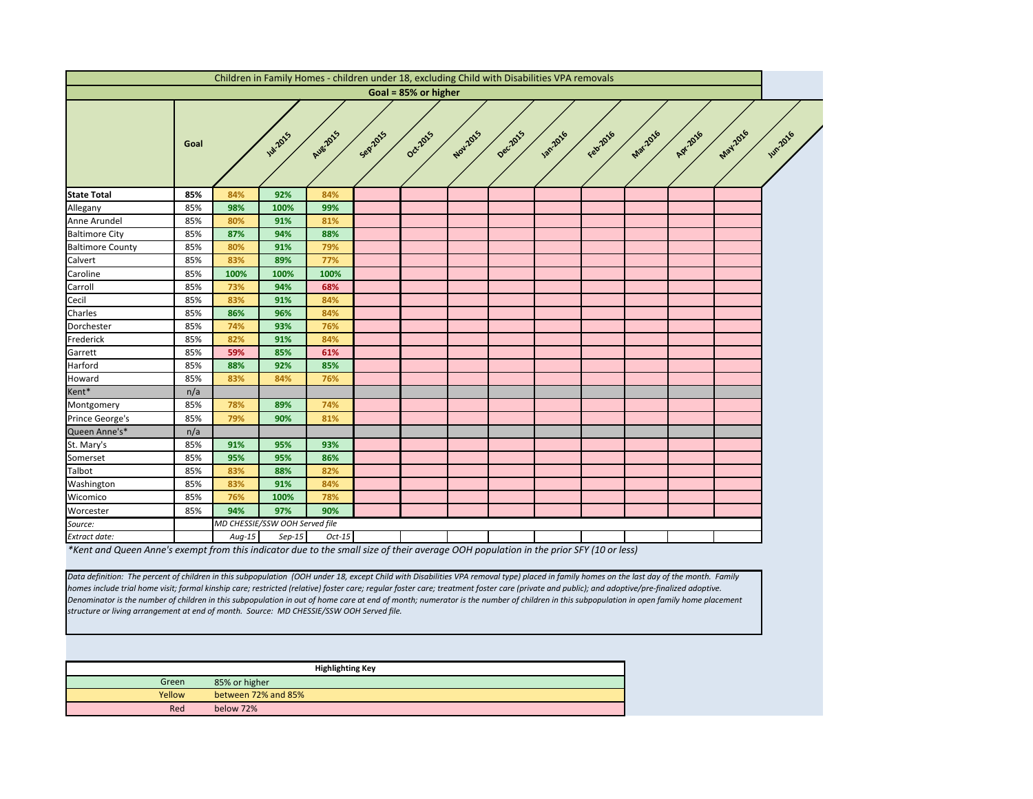<span id="page-6-0"></span>

|                                                                                                                                       |      |          | Children in Family Homes - children under 18, excluding Child with Disabilities VPA removals |          |         |                      |          |          |                |          |          |          |         |                 |
|---------------------------------------------------------------------------------------------------------------------------------------|------|----------|----------------------------------------------------------------------------------------------|----------|---------|----------------------|----------|----------|----------------|----------|----------|----------|---------|-----------------|
|                                                                                                                                       |      |          |                                                                                              |          |         | Goal = 85% or higher |          |          |                |          |          |          |         |                 |
|                                                                                                                                       | Goal |          | <b>W.2015</b>                                                                                | Aug-2015 | Sep2015 | Oct-2015             | Nov.2015 | Dec.2015 | <b>1201016</b> | Febr2016 | Mar-2016 | Apr.2016 | May2016 | <b>Jun 2016</b> |
| <b>State Total</b>                                                                                                                    | 85%  | 84%      | 92%                                                                                          | 84%      |         |                      |          |          |                |          |          |          |         |                 |
| Allegany                                                                                                                              | 85%  | 98%      | 100%                                                                                         | 99%      |         |                      |          |          |                |          |          |          |         |                 |
| Anne Arundel                                                                                                                          | 85%  | 80%      | 91%                                                                                          | 81%      |         |                      |          |          |                |          |          |          |         |                 |
| <b>Baltimore City</b>                                                                                                                 | 85%  | 87%      | 94%                                                                                          | 88%      |         |                      |          |          |                |          |          |          |         |                 |
| <b>Baltimore County</b>                                                                                                               | 85%  | 80%      | 91%                                                                                          | 79%      |         |                      |          |          |                |          |          |          |         |                 |
| Calvert                                                                                                                               | 85%  | 83%      | 89%                                                                                          | 77%      |         |                      |          |          |                |          |          |          |         |                 |
| Caroline                                                                                                                              | 85%  | 100%     | 100%                                                                                         | 100%     |         |                      |          |          |                |          |          |          |         |                 |
| Carroll                                                                                                                               | 85%  | 73%      | 94%                                                                                          | 68%      |         |                      |          |          |                |          |          |          |         |                 |
| Cecil                                                                                                                                 | 85%  | 83%      | 91%                                                                                          | 84%      |         |                      |          |          |                |          |          |          |         |                 |
| Charles                                                                                                                               | 85%  | 86%      | 96%                                                                                          | 84%      |         |                      |          |          |                |          |          |          |         |                 |
| Dorchester                                                                                                                            | 85%  | 74%      | 93%                                                                                          | 76%      |         |                      |          |          |                |          |          |          |         |                 |
| Frederick                                                                                                                             | 85%  | 82%      | 91%                                                                                          | 84%      |         |                      |          |          |                |          |          |          |         |                 |
| Garrett                                                                                                                               | 85%  | 59%      | 85%                                                                                          | 61%      |         |                      |          |          |                |          |          |          |         |                 |
| Harford                                                                                                                               | 85%  | 88%      | 92%                                                                                          | 85%      |         |                      |          |          |                |          |          |          |         |                 |
| Howard                                                                                                                                | 85%  | 83%      | 84%                                                                                          | 76%      |         |                      |          |          |                |          |          |          |         |                 |
| Kent*                                                                                                                                 | n/a  |          |                                                                                              |          |         |                      |          |          |                |          |          |          |         |                 |
| Montgomery                                                                                                                            | 85%  | 78%      | 89%                                                                                          | 74%      |         |                      |          |          |                |          |          |          |         |                 |
| Prince George's                                                                                                                       | 85%  | 79%      | 90%                                                                                          | 81%      |         |                      |          |          |                |          |          |          |         |                 |
| Queen Anne's*                                                                                                                         | n/a  |          |                                                                                              |          |         |                      |          |          |                |          |          |          |         |                 |
| St. Mary's                                                                                                                            | 85%  | 91%      | 95%                                                                                          | 93%      |         |                      |          |          |                |          |          |          |         |                 |
| Somerset                                                                                                                              | 85%  | 95%      | 95%                                                                                          | 86%      |         |                      |          |          |                |          |          |          |         |                 |
| Talbot                                                                                                                                | 85%  | 83%      | 88%                                                                                          | 82%      |         |                      |          |          |                |          |          |          |         |                 |
| Washington                                                                                                                            | 85%  | 83%      | 91%                                                                                          | 84%      |         |                      |          |          |                |          |          |          |         |                 |
| Wicomico                                                                                                                              | 85%  | 76%      | 100%                                                                                         | 78%      |         |                      |          |          |                |          |          |          |         |                 |
| Worcester                                                                                                                             | 85%  | 94%      | 97%                                                                                          | 90%      |         |                      |          |          |                |          |          |          |         |                 |
| Source:                                                                                                                               |      |          | MD CHESSIE/SSW OOH Served file                                                               |          |         |                      |          |          |                |          |          |          |         |                 |
| Extract date:                                                                                                                         |      | $Aug-15$ | $Sep-15$                                                                                     | $Oct-15$ |         |                      |          |          |                |          |          |          |         |                 |
| *Kent and Queen Anne's exempt from this indicator due to the small size of their average OOH population in the prior SFY (10 or less) |      |          |                                                                                              |          |         |                      |          |          |                |          |          |          |         |                 |

*Data definition: The percent of children in this subpopulation (OOH under 18, except Child with Disabilities VPA removal type) placed in family homes on the last day of the month. Family homes include trial home visit; formal kinship care; restricted (relative) foster care; regular foster care; treatment foster care (private and public); and adoptive/pre-finalized adoptive. Denominator is the number of children in this subpopulation in out of home care at end of month; numerator is the number of children in this subpopulation in open family home placement structure or living arrangement at end of month. Source: MD CHESSIE/SSW OOH Served file.*

|        |                     | <b>Highlighting Key</b> |
|--------|---------------------|-------------------------|
| Green  | 85% or higher       |                         |
| Yellow | between 72% and 85% |                         |
| Red    | below 72%           |                         |

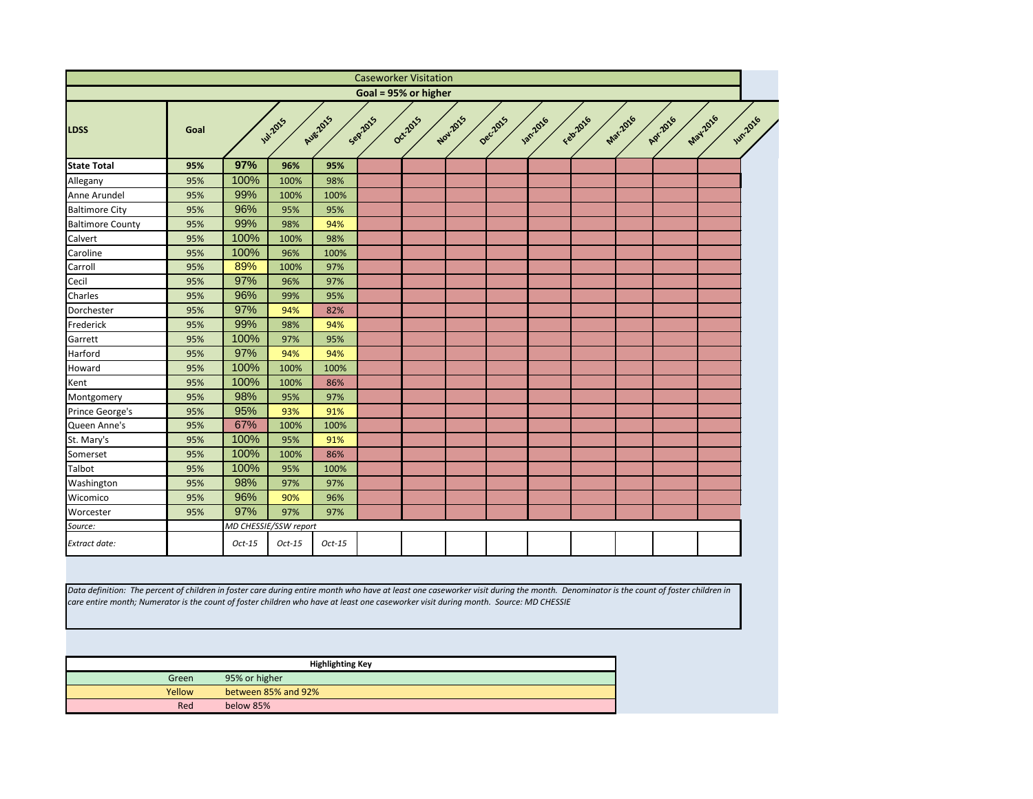<span id="page-7-0"></span>

|                                                                                                                                                                                                                                                                                                                             |        |               |                       |                         |         | <b>Caseworker Visitation</b> |          |          |                |          |          |          |          |                |
|-----------------------------------------------------------------------------------------------------------------------------------------------------------------------------------------------------------------------------------------------------------------------------------------------------------------------------|--------|---------------|-----------------------|-------------------------|---------|------------------------------|----------|----------|----------------|----------|----------|----------|----------|----------------|
|                                                                                                                                                                                                                                                                                                                             |        |               |                       |                         |         | Goal = 95% or higher         |          |          |                |          |          |          |          |                |
| <b>LDSS</b>                                                                                                                                                                                                                                                                                                                 | Goal   |               | <b>141-2015</b>       | <b>Aug-2015</b>         | Sep2015 | Oct2015                      | Nov.2015 | Dec.2015 | <b>1872216</b> | Febricio | Mar.2016 | Apr.2016 | May 2016 | <b>Jun2016</b> |
| <b>State Total</b>                                                                                                                                                                                                                                                                                                          | 95%    | 97%           | 96%                   | 95%                     |         |                              |          |          |                |          |          |          |          |                |
| Allegany                                                                                                                                                                                                                                                                                                                    | 95%    | 100%          | 100%                  | 98%                     |         |                              |          |          |                |          |          |          |          |                |
| Anne Arundel                                                                                                                                                                                                                                                                                                                | 95%    | 99%           | 100%                  | 100%                    |         |                              |          |          |                |          |          |          |          |                |
| <b>Baltimore City</b>                                                                                                                                                                                                                                                                                                       | 95%    | 96%           | 95%                   | 95%                     |         |                              |          |          |                |          |          |          |          |                |
| <b>Baltimore County</b>                                                                                                                                                                                                                                                                                                     | 95%    | 99%           | 98%                   | 94%                     |         |                              |          |          |                |          |          |          |          |                |
| Calvert                                                                                                                                                                                                                                                                                                                     | 95%    | 100%          | 100%                  | 98%                     |         |                              |          |          |                |          |          |          |          |                |
| Caroline                                                                                                                                                                                                                                                                                                                    | 95%    | 100%          | 96%                   | 100%                    |         |                              |          |          |                |          |          |          |          |                |
| Carroll                                                                                                                                                                                                                                                                                                                     | 95%    | 89%           | 100%                  | 97%                     |         |                              |          |          |                |          |          |          |          |                |
| Cecil                                                                                                                                                                                                                                                                                                                       | 95%    | 97%           | 96%                   | 97%                     |         |                              |          |          |                |          |          |          |          |                |
| Charles                                                                                                                                                                                                                                                                                                                     | 95%    | 96%           | 99%                   | 95%                     |         |                              |          |          |                |          |          |          |          |                |
| Dorchester                                                                                                                                                                                                                                                                                                                  | 95%    | 97%           | 94%                   | 82%                     |         |                              |          |          |                |          |          |          |          |                |
| Frederick                                                                                                                                                                                                                                                                                                                   | 95%    | 99%           | 98%                   | 94%                     |         |                              |          |          |                |          |          |          |          |                |
| Garrett                                                                                                                                                                                                                                                                                                                     | 95%    | 100%          | 97%                   | 95%                     |         |                              |          |          |                |          |          |          |          |                |
| Harford                                                                                                                                                                                                                                                                                                                     | 95%    | 97%           | 94%                   | 94%                     |         |                              |          |          |                |          |          |          |          |                |
| Howard                                                                                                                                                                                                                                                                                                                      | 95%    | 100%          | 100%                  | 100%                    |         |                              |          |          |                |          |          |          |          |                |
| Kent                                                                                                                                                                                                                                                                                                                        | 95%    | 100%          | 100%                  | 86%                     |         |                              |          |          |                |          |          |          |          |                |
| Montgomery                                                                                                                                                                                                                                                                                                                  | 95%    | 98%           | 95%                   | 97%                     |         |                              |          |          |                |          |          |          |          |                |
| Prince George's                                                                                                                                                                                                                                                                                                             | 95%    | 95%           | 93%                   | 91%                     |         |                              |          |          |                |          |          |          |          |                |
| Queen Anne's                                                                                                                                                                                                                                                                                                                | 95%    | 67%           | 100%                  | 100%                    |         |                              |          |          |                |          |          |          |          |                |
| St. Mary's                                                                                                                                                                                                                                                                                                                  | 95%    | 100%          | 95%                   | 91%                     |         |                              |          |          |                |          |          |          |          |                |
| Somerset                                                                                                                                                                                                                                                                                                                    | 95%    | 100%          | 100%                  | 86%                     |         |                              |          |          |                |          |          |          |          |                |
| Talbot                                                                                                                                                                                                                                                                                                                      | 95%    | 100%          | 95%                   | 100%                    |         |                              |          |          |                |          |          |          |          |                |
| Washington                                                                                                                                                                                                                                                                                                                  | 95%    | 98%           | 97%                   | 97%                     |         |                              |          |          |                |          |          |          |          |                |
| Wicomico                                                                                                                                                                                                                                                                                                                    | 95%    | 96%           | 90%                   | 96%                     |         |                              |          |          |                |          |          |          |          |                |
| Worcester                                                                                                                                                                                                                                                                                                                   | 95%    | 97%           | 97%                   | 97%                     |         |                              |          |          |                |          |          |          |          |                |
| Source:                                                                                                                                                                                                                                                                                                                     |        |               | MD CHESSIE/SSW report |                         |         |                              |          |          |                |          |          |          |          |                |
| Extract date:                                                                                                                                                                                                                                                                                                               |        | $Oct-15$      | $Oct-15$              | $Oct-15$                |         |                              |          |          |                |          |          |          |          |                |
| Data definition: The percent of children in foster care during entire month who have at least one caseworker visit during the month. Denominator is the count of foster children in<br>care entire month; Numerator is the count of foster children who have at least one caseworker visit during month. Source: MD CHESSIE |        |               |                       |                         |         |                              |          |          |                |          |          |          |          |                |
|                                                                                                                                                                                                                                                                                                                             |        |               |                       | <b>Highlighting Key</b> |         |                              |          |          |                |          |          |          |          |                |
|                                                                                                                                                                                                                                                                                                                             | Green  | 95% or higher |                       |                         |         |                              |          |          |                |          |          |          |          |                |
|                                                                                                                                                                                                                                                                                                                             | Yellow |               | between 85% and 92%   |                         |         |                              |          |          |                |          |          |          |          |                |
|                                                                                                                                                                                                                                                                                                                             | Red    | below 85%     |                       |                         |         |                              |          |          |                |          |          |          |          |                |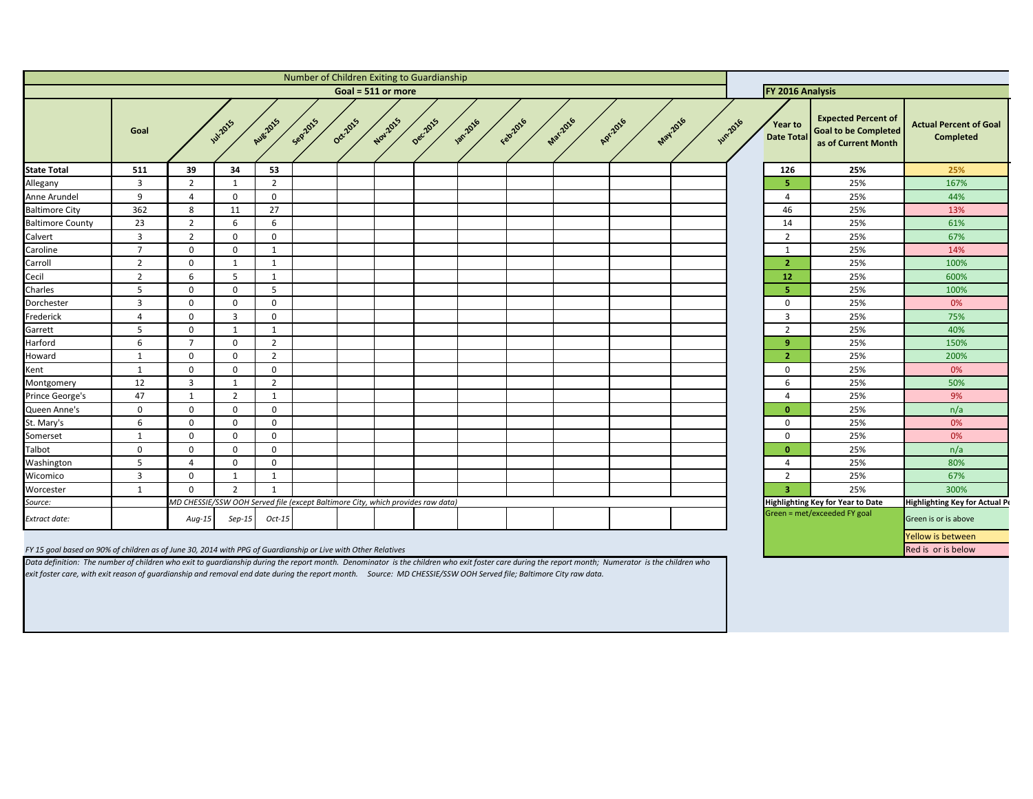<span id="page-8-0"></span>

|                                                                                                               |                |                                                                                 |                |                |         |          |          | Number of Children Exiting to Guardianship |                  |           |          |          |                  |                |                                     |                                                                                  |                                                   |
|---------------------------------------------------------------------------------------------------------------|----------------|---------------------------------------------------------------------------------|----------------|----------------|---------|----------|----------|--------------------------------------------|------------------|-----------|----------|----------|------------------|----------------|-------------------------------------|----------------------------------------------------------------------------------|---------------------------------------------------|
| Goal = 511 or more                                                                                            |                |                                                                                 |                |                |         |          |          |                                            |                  |           |          |          | FY 2016 Analysis |                |                                     |                                                                                  |                                                   |
|                                                                                                               | Goal           |                                                                                 | <b>W.2015</b>  | Aug-2015       | Sepzons | Oct-2015 | Nov.2015 | Dec.2015                                   | <b>1301.2016</b> | Februarie | Mar.2016 | Apr.2016 | <b>May-2016</b>  | <b>Wh.2016</b> | <b>Year to</b><br><b>Date Total</b> | <b>Expected Percent of</b><br><b>Goal to be Completed</b><br>as of Current Month | <b>Actual Percent of Goal</b><br><b>Completed</b> |
| <b>State Total</b>                                                                                            | 511            | 39                                                                              | 34             | 53             |         |          |          |                                            |                  |           |          |          |                  |                | 126                                 | 25%                                                                              | 25%                                               |
| Allegany                                                                                                      | 3              | $\overline{2}$                                                                  |                | $\overline{2}$ |         |          |          |                                            |                  |           |          |          |                  |                |                                     | 25%                                                                              | 167%                                              |
| Anne Arundel                                                                                                  | 9              | 4                                                                               | $\mathbf 0$    | $\Omega$       |         |          |          |                                            |                  |           |          |          |                  |                |                                     | 25%                                                                              | 44%                                               |
| <b>Baltimore City</b>                                                                                         | 362            | 8                                                                               | 11             | 27             |         |          |          |                                            |                  |           |          |          |                  |                | 46                                  | 25%                                                                              | 13%                                               |
| <b>Baltimore County</b>                                                                                       | 23             | $\overline{2}$                                                                  | 6              | -6             |         |          |          |                                            |                  |           |          |          |                  |                | 14                                  | 25%                                                                              | 61%                                               |
| Calvert                                                                                                       | $\overline{3}$ | $\overline{2}$                                                                  | $\Omega$       | $\mathbf 0$    |         |          |          |                                            |                  |           |          |          |                  |                | 2                                   | 25%                                                                              | 67%                                               |
| Caroline                                                                                                      | $\overline{7}$ | $\mathbf 0$                                                                     | $\Omega$       | -1             |         |          |          |                                            |                  |           |          |          |                  |                |                                     | 25%                                                                              | 14%                                               |
| Carroll                                                                                                       | $\overline{2}$ | $\mathbf 0$                                                                     |                | -1             |         |          |          |                                            |                  |           |          |          |                  |                | 2                                   | 25%                                                                              | 100%                                              |
| Cecil                                                                                                         | $\overline{2}$ | 6                                                                               | 5              |                |         |          |          |                                            |                  |           |          |          |                  |                | 12 <sub>2</sub>                     | 25%                                                                              | 600%                                              |
| Charles                                                                                                       | -5             | $\mathbf 0$                                                                     | $\Omega$       | -5             |         |          |          |                                            |                  |           |          |          |                  |                |                                     | 25%                                                                              | 100%                                              |
| Dorchester                                                                                                    | $\overline{3}$ | $\mathbf 0$                                                                     | $\mathbf 0$    | $\Omega$       |         |          |          |                                            |                  |           |          |          |                  |                | $\Omega$                            | 25%                                                                              | 0%                                                |
| Frederick                                                                                                     | 4              | $\mathbf 0$                                                                     | -3             | $\Omega$       |         |          |          |                                            |                  |           |          |          |                  |                | 3                                   | 25%                                                                              | 75%                                               |
| Garrett                                                                                                       | 5              | $\mathbf 0$                                                                     | -1             | -1             |         |          |          |                                            |                  |           |          |          |                  |                | 2                                   | 25%                                                                              | 40%                                               |
| Harford                                                                                                       | 6              | $\overline{7}$                                                                  | $\mathbf 0$    | $\overline{2}$ |         |          |          |                                            |                  |           |          |          |                  |                | <b>q</b>                            | 25%                                                                              | 150%                                              |
| Howard                                                                                                        | -1             | $\mathbf 0$                                                                     | $\Omega$       | $\overline{2}$ |         |          |          |                                            |                  |           |          |          |                  |                | 2                                   | 25%                                                                              | 200%                                              |
| Kent                                                                                                          | -1             | $\mathbf 0$                                                                     | $\Omega$       | $\Omega$       |         |          |          |                                            |                  |           |          |          |                  |                | $\Omega$                            | 25%                                                                              | 0%                                                |
| Montgomery                                                                                                    | 12             | $\overline{3}$                                                                  |                | $\overline{2}$ |         |          |          |                                            |                  |           |          |          |                  |                | 6                                   | 25%                                                                              | 50%                                               |
| Prince George's                                                                                               | 47             | -1                                                                              | $\overline{2}$ | -1             |         |          |          |                                            |                  |           |          |          |                  |                |                                     | 25%                                                                              | 9%                                                |
| Queen Anne's                                                                                                  | $\mathbf{0}$   | $\mathbf 0$                                                                     | $\mathbf 0$    | $\Omega$       |         |          |          |                                            |                  |           |          |          |                  |                | n                                   | 25%                                                                              | n/a                                               |
| St. Mary's                                                                                                    | 6              | $\mathbf 0$                                                                     | $\Omega$       | $\Omega$       |         |          |          |                                            |                  |           |          |          |                  |                | $\Omega$                            | 25%                                                                              | 0%                                                |
| Somerset                                                                                                      |                | 0                                                                               | 0              | $\Omega$       |         |          |          |                                            |                  |           |          |          |                  |                | n                                   | 25%                                                                              | 0%                                                |
| Talbot                                                                                                        | $\mathbf 0$    | $\mathbf 0$                                                                     | 0              | $\Omega$       |         |          |          |                                            |                  |           |          |          |                  |                | $\bf{0}$                            | 25%                                                                              | n/a                                               |
| Washington                                                                                                    | 5              | $\overline{4}$                                                                  | $\mathbf 0$    | $\Omega$       |         |          |          |                                            |                  |           |          |          |                  |                | 4                                   | 25%                                                                              | 80%                                               |
| Wicomico                                                                                                      | $\overline{3}$ | $\mathbf 0$                                                                     |                |                |         |          |          |                                            |                  |           |          |          |                  |                | 2                                   | 25%                                                                              | 67%                                               |
| Worcester                                                                                                     | $\mathbf{1}$   | $\mathbf 0$                                                                     | $\overline{2}$ | $\mathbf 1$    |         |          |          |                                            |                  |           |          |          |                  |                | 3.                                  | 25%                                                                              | 300%                                              |
| Source:                                                                                                       |                | MD CHESSIE/SSW OOH Served file (except Baltimore City, which provides raw data) |                |                |         |          |          |                                            |                  |           |          |          |                  |                |                                     | <b>Highlighting Key for Year to Date</b>                                         | Highlighting Key for Actual P                     |
| Extract date:                                                                                                 |                | $Aug-15$                                                                        | $Sep-15$       | $Oct-15$       |         |          |          |                                            |                  |           |          |          |                  |                |                                     | Green = met/exceeded FY goal                                                     | Green is or is above                              |
|                                                                                                               |                |                                                                                 |                |                |         |          |          |                                            |                  |           |          |          |                  |                |                                     |                                                                                  | Yellow is between                                 |
| FY 15 goal based on 90% of children as of June 30, 2014 with PPG of Guardianship or Live with Other Relatives |                |                                                                                 |                |                |         |          |          |                                            |                  |           |          |          |                  |                |                                     |                                                                                  | Red is or is below                                |

*Data definition: The number of children who exit to guardianship during the report month. Denominator is the children who exit foster care during the report month; Numerator is the children who exit foster care, with exit reason of guardianship and removal end date during the report month. Source: MD CHESSIE/SSW OOH Served file; Baltimore City raw data.*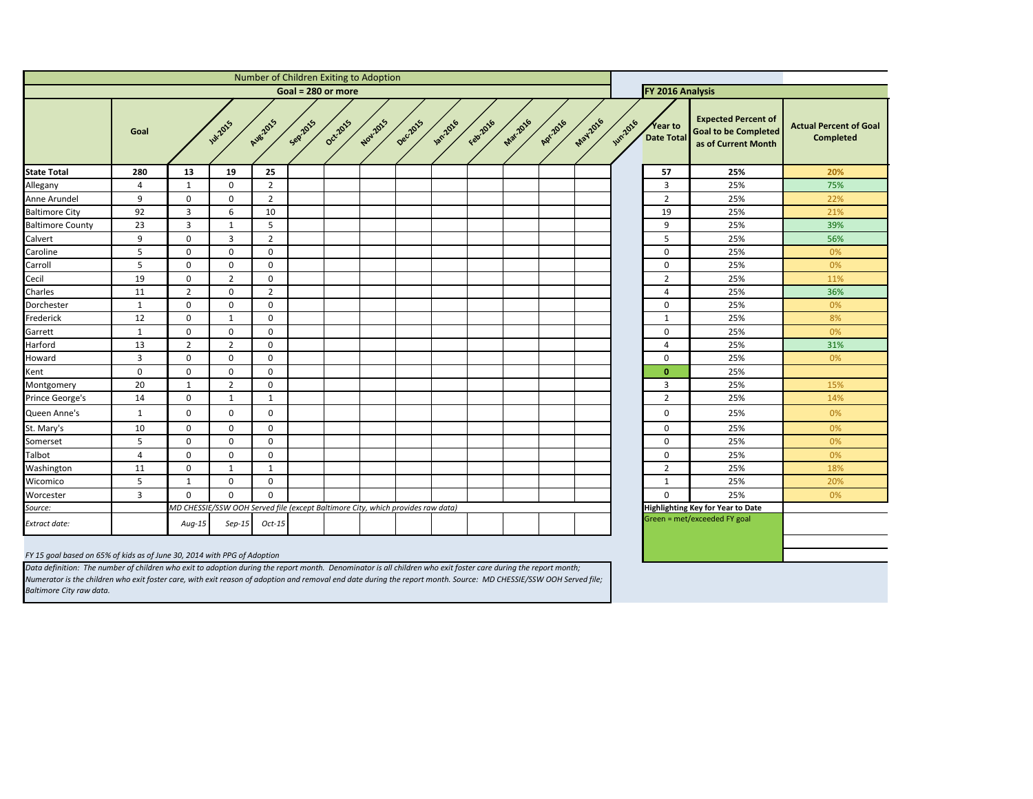| f<br>ed.<br>h | <b>Actual Percent of Goal</b><br><b>Completed</b> |
|---------------|---------------------------------------------------|
|               | 20%                                               |
|               | 75%                                               |
|               | 22%                                               |
|               | 21%                                               |
|               | 39%                                               |
|               | 56%                                               |
|               | 0%                                                |
|               | 0%                                                |
|               | 11%                                               |
|               | 36%                                               |
|               | 0%                                                |
|               | 8%                                                |
|               | 0%                                                |
|               | 31%                                               |
|               | 0%                                                |
|               |                                                   |
|               | 15%                                               |
|               | 14%                                               |
|               | 0%                                                |
|               | 0%                                                |
|               | 0%                                                |
|               | 0%                                                |
|               | 18%                                               |
|               | 20%                                               |
|               | 0%                                                |
|               |                                                   |
|               |                                                   |
|               |                                                   |
|               |                                                   |
|               |                                                   |

<span id="page-9-0"></span>

| FY 2016 Analysis<br>Goal = $280$ or more<br><b>Expected Percent of</b><br>May 2016<br>Mar-2016<br>Nov.2015<br>Aug.2015<br>Seprats<br>Oct-2015<br>Deciloss<br>Febr2016<br>Apr.2016<br><b>1887.2016</b><br><b>JUN2016</b><br><b>Jul-2015</b><br>Year to<br><b>Goal to be Completed</b><br>Goal<br>Date Total<br>as of Current Month<br><b>State Total</b><br>19<br>57<br>25%<br>280<br>13<br>25<br>$\overline{2}$<br>3<br>25%<br>Allegany<br>$\mathbf{0}$<br>4<br>$\mathbf{1}$<br>9<br>$\overline{2}$<br>25%<br>$\mathbf 0$<br>$\mathbf 0$<br>$\overline{2}$<br>Anne Arundel<br><b>Baltimore City</b><br>92<br>3<br>6<br>10<br>19<br>25%<br>3<br><b>Baltimore County</b><br>23<br>5<br>9<br>25%<br>$\mathbf{1}$<br>Calvert<br>9<br>$\mathbf{3}$<br>$\overline{2}$<br>5<br>25%<br>$\mathbf 0$<br>5<br>Caroline<br>$\mathbf 0$<br>$\mathbf 0$<br>$\mathbf 0$<br>25%<br>0<br>Carroll<br>5<br>25%<br>$\mathbf 0$<br>$\mathbf 0$<br>$\mathbf 0$<br>$\mathbf 0$<br>Cecil<br>19<br>$\overline{2}$<br>25%<br>$\mathbf 0$<br>$2^{\circ}$<br>0<br>Charles<br>$\overline{2}$<br>$\overline{2}$<br>$\mathbf 0$<br>25%<br>11<br>$\overline{4}$<br>$\mathbf 0$<br>$\mathbf{0}$<br>$\mathbf 0$<br>$\mathbf 0$<br>25%<br>Dorchester<br>$\mathbf{1}$<br>12<br>$\mathbf 0$<br>Frederick<br>$\mathbf 0$<br>25%<br>$\mathbf{1}$<br>$\mathbf{1}$<br>Garrett<br>$\mathbf 0$<br>$\mathbf 0$<br>$\mathbf 0$<br>$\mathbf 0$<br>25%<br>$\mathbf{1}$<br>Harford<br>13<br>$\overline{2}$<br>$2^{\circ}$<br>$\mathbf 0$<br>25%<br>$\overline{4}$<br>$\mathbf{3}$<br>25%<br>Howard<br>$\mathbf 0$<br>$\mathbf 0$<br>$\mathbf 0$<br>$\mathbf 0$<br>$\mathbf 0$<br>$\mathbf 0$<br>$\mathbf 0$<br>25%<br>Kent<br>0<br>$\mathbf 0$<br>20<br>$\overline{2}$<br>$\mathbf 0$<br>3<br>25%<br>Montgomery<br>$\mathbf{1}$<br>Prince George's<br>$\mathbf 0$<br>$\overline{2}$<br>25%<br>14<br>$\mathbf{1}$<br>$\mathbf{1}$<br>Queen Anne's<br>$\mathbf{0}$<br>$\mathbf 0$<br>$\mathbf 0$<br>25%<br>$\mathbf{1}$<br>0<br>St. Mary's<br>$\mathbf 0$<br>$\mathbf 0$<br>$\mathbf 0$<br>10<br>0<br>25%<br>Somerset<br>$5\phantom{.}$<br>$\mathbf 0$<br>25%<br>0<br>0<br>$\bf{0}$<br>Talbot<br>$\mathbf 0$<br>$\mathbf 0$<br>$\mathbf 0$<br>$\mathbf 0$<br>25%<br>4<br>$\mathbf 0$<br>$\overline{2}$<br>11<br>$\mathbf{1}$<br>$\mathbf{1}$<br>25%<br>Washington<br>Wicomico<br>5<br>$\mathbf 0$<br>$\mathbf 0$<br>25%<br>$\mathbf{1}$<br>$\mathbf{1}$<br>$\overline{3}$<br>$\mathbf 0$<br>$\mathbf 0$<br>$\mathbf 0$<br>Worcester<br>$\mathbf 0$<br>25%<br>MD CHESSIE/SSW OOH Served file (except Baltimore City, which provides raw data)<br><b>Highlighting Key for Year to Date</b><br>Source:<br>Green = met/exceeded FY goal<br>$Oct-15$<br>$Sep-15$<br><b>Extract date:</b><br>Aug-15 |  |  |  |  | Number of Children Exiting to Adoption |  |  |  |  |  |  |  |  |  |  |                                |
|---------------------------------------------------------------------------------------------------------------------------------------------------------------------------------------------------------------------------------------------------------------------------------------------------------------------------------------------------------------------------------------------------------------------------------------------------------------------------------------------------------------------------------------------------------------------------------------------------------------------------------------------------------------------------------------------------------------------------------------------------------------------------------------------------------------------------------------------------------------------------------------------------------------------------------------------------------------------------------------------------------------------------------------------------------------------------------------------------------------------------------------------------------------------------------------------------------------------------------------------------------------------------------------------------------------------------------------------------------------------------------------------------------------------------------------------------------------------------------------------------------------------------------------------------------------------------------------------------------------------------------------------------------------------------------------------------------------------------------------------------------------------------------------------------------------------------------------------------------------------------------------------------------------------------------------------------------------------------------------------------------------------------------------------------------------------------------------------------------------------------------------------------------------------------------------------------------------------------------------------------------------------------------------------------------------------------------------------------------------------------------------------------------------------------------------------------------------------------------------------------------------------------------------------------------------------------------------------------------------------------------------------------------------------------------------------------------------------------------------------|--|--|--|--|----------------------------------------|--|--|--|--|--|--|--|--|--|--|--------------------------------|
|                                                                                                                                                                                                                                                                                                                                                                                                                                                                                                                                                                                                                                                                                                                                                                                                                                                                                                                                                                                                                                                                                                                                                                                                                                                                                                                                                                                                                                                                                                                                                                                                                                                                                                                                                                                                                                                                                                                                                                                                                                                                                                                                                                                                                                                                                                                                                                                                                                                                                                                                                                                                                                                                                                                                             |  |  |  |  |                                        |  |  |  |  |  |  |  |  |  |  |                                |
|                                                                                                                                                                                                                                                                                                                                                                                                                                                                                                                                                                                                                                                                                                                                                                                                                                                                                                                                                                                                                                                                                                                                                                                                                                                                                                                                                                                                                                                                                                                                                                                                                                                                                                                                                                                                                                                                                                                                                                                                                                                                                                                                                                                                                                                                                                                                                                                                                                                                                                                                                                                                                                                                                                                                             |  |  |  |  |                                        |  |  |  |  |  |  |  |  |  |  | <b>Actual Percer</b><br>Comple |
|                                                                                                                                                                                                                                                                                                                                                                                                                                                                                                                                                                                                                                                                                                                                                                                                                                                                                                                                                                                                                                                                                                                                                                                                                                                                                                                                                                                                                                                                                                                                                                                                                                                                                                                                                                                                                                                                                                                                                                                                                                                                                                                                                                                                                                                                                                                                                                                                                                                                                                                                                                                                                                                                                                                                             |  |  |  |  |                                        |  |  |  |  |  |  |  |  |  |  | 20%                            |
|                                                                                                                                                                                                                                                                                                                                                                                                                                                                                                                                                                                                                                                                                                                                                                                                                                                                                                                                                                                                                                                                                                                                                                                                                                                                                                                                                                                                                                                                                                                                                                                                                                                                                                                                                                                                                                                                                                                                                                                                                                                                                                                                                                                                                                                                                                                                                                                                                                                                                                                                                                                                                                                                                                                                             |  |  |  |  |                                        |  |  |  |  |  |  |  |  |  |  | 75%                            |
|                                                                                                                                                                                                                                                                                                                                                                                                                                                                                                                                                                                                                                                                                                                                                                                                                                                                                                                                                                                                                                                                                                                                                                                                                                                                                                                                                                                                                                                                                                                                                                                                                                                                                                                                                                                                                                                                                                                                                                                                                                                                                                                                                                                                                                                                                                                                                                                                                                                                                                                                                                                                                                                                                                                                             |  |  |  |  |                                        |  |  |  |  |  |  |  |  |  |  | 22%                            |
|                                                                                                                                                                                                                                                                                                                                                                                                                                                                                                                                                                                                                                                                                                                                                                                                                                                                                                                                                                                                                                                                                                                                                                                                                                                                                                                                                                                                                                                                                                                                                                                                                                                                                                                                                                                                                                                                                                                                                                                                                                                                                                                                                                                                                                                                                                                                                                                                                                                                                                                                                                                                                                                                                                                                             |  |  |  |  |                                        |  |  |  |  |  |  |  |  |  |  | 21%                            |
|                                                                                                                                                                                                                                                                                                                                                                                                                                                                                                                                                                                                                                                                                                                                                                                                                                                                                                                                                                                                                                                                                                                                                                                                                                                                                                                                                                                                                                                                                                                                                                                                                                                                                                                                                                                                                                                                                                                                                                                                                                                                                                                                                                                                                                                                                                                                                                                                                                                                                                                                                                                                                                                                                                                                             |  |  |  |  |                                        |  |  |  |  |  |  |  |  |  |  | 39%                            |
|                                                                                                                                                                                                                                                                                                                                                                                                                                                                                                                                                                                                                                                                                                                                                                                                                                                                                                                                                                                                                                                                                                                                                                                                                                                                                                                                                                                                                                                                                                                                                                                                                                                                                                                                                                                                                                                                                                                                                                                                                                                                                                                                                                                                                                                                                                                                                                                                                                                                                                                                                                                                                                                                                                                                             |  |  |  |  |                                        |  |  |  |  |  |  |  |  |  |  | 56%                            |
|                                                                                                                                                                                                                                                                                                                                                                                                                                                                                                                                                                                                                                                                                                                                                                                                                                                                                                                                                                                                                                                                                                                                                                                                                                                                                                                                                                                                                                                                                                                                                                                                                                                                                                                                                                                                                                                                                                                                                                                                                                                                                                                                                                                                                                                                                                                                                                                                                                                                                                                                                                                                                                                                                                                                             |  |  |  |  |                                        |  |  |  |  |  |  |  |  |  |  | 0%                             |
|                                                                                                                                                                                                                                                                                                                                                                                                                                                                                                                                                                                                                                                                                                                                                                                                                                                                                                                                                                                                                                                                                                                                                                                                                                                                                                                                                                                                                                                                                                                                                                                                                                                                                                                                                                                                                                                                                                                                                                                                                                                                                                                                                                                                                                                                                                                                                                                                                                                                                                                                                                                                                                                                                                                                             |  |  |  |  |                                        |  |  |  |  |  |  |  |  |  |  | 0%                             |
|                                                                                                                                                                                                                                                                                                                                                                                                                                                                                                                                                                                                                                                                                                                                                                                                                                                                                                                                                                                                                                                                                                                                                                                                                                                                                                                                                                                                                                                                                                                                                                                                                                                                                                                                                                                                                                                                                                                                                                                                                                                                                                                                                                                                                                                                                                                                                                                                                                                                                                                                                                                                                                                                                                                                             |  |  |  |  |                                        |  |  |  |  |  |  |  |  |  |  | 11%                            |
|                                                                                                                                                                                                                                                                                                                                                                                                                                                                                                                                                                                                                                                                                                                                                                                                                                                                                                                                                                                                                                                                                                                                                                                                                                                                                                                                                                                                                                                                                                                                                                                                                                                                                                                                                                                                                                                                                                                                                                                                                                                                                                                                                                                                                                                                                                                                                                                                                                                                                                                                                                                                                                                                                                                                             |  |  |  |  |                                        |  |  |  |  |  |  |  |  |  |  | 36%                            |
|                                                                                                                                                                                                                                                                                                                                                                                                                                                                                                                                                                                                                                                                                                                                                                                                                                                                                                                                                                                                                                                                                                                                                                                                                                                                                                                                                                                                                                                                                                                                                                                                                                                                                                                                                                                                                                                                                                                                                                                                                                                                                                                                                                                                                                                                                                                                                                                                                                                                                                                                                                                                                                                                                                                                             |  |  |  |  |                                        |  |  |  |  |  |  |  |  |  |  | 0%                             |
|                                                                                                                                                                                                                                                                                                                                                                                                                                                                                                                                                                                                                                                                                                                                                                                                                                                                                                                                                                                                                                                                                                                                                                                                                                                                                                                                                                                                                                                                                                                                                                                                                                                                                                                                                                                                                                                                                                                                                                                                                                                                                                                                                                                                                                                                                                                                                                                                                                                                                                                                                                                                                                                                                                                                             |  |  |  |  |                                        |  |  |  |  |  |  |  |  |  |  | 8%                             |
|                                                                                                                                                                                                                                                                                                                                                                                                                                                                                                                                                                                                                                                                                                                                                                                                                                                                                                                                                                                                                                                                                                                                                                                                                                                                                                                                                                                                                                                                                                                                                                                                                                                                                                                                                                                                                                                                                                                                                                                                                                                                                                                                                                                                                                                                                                                                                                                                                                                                                                                                                                                                                                                                                                                                             |  |  |  |  |                                        |  |  |  |  |  |  |  |  |  |  | 0%                             |
|                                                                                                                                                                                                                                                                                                                                                                                                                                                                                                                                                                                                                                                                                                                                                                                                                                                                                                                                                                                                                                                                                                                                                                                                                                                                                                                                                                                                                                                                                                                                                                                                                                                                                                                                                                                                                                                                                                                                                                                                                                                                                                                                                                                                                                                                                                                                                                                                                                                                                                                                                                                                                                                                                                                                             |  |  |  |  |                                        |  |  |  |  |  |  |  |  |  |  | 31%                            |
|                                                                                                                                                                                                                                                                                                                                                                                                                                                                                                                                                                                                                                                                                                                                                                                                                                                                                                                                                                                                                                                                                                                                                                                                                                                                                                                                                                                                                                                                                                                                                                                                                                                                                                                                                                                                                                                                                                                                                                                                                                                                                                                                                                                                                                                                                                                                                                                                                                                                                                                                                                                                                                                                                                                                             |  |  |  |  |                                        |  |  |  |  |  |  |  |  |  |  | 0%                             |
|                                                                                                                                                                                                                                                                                                                                                                                                                                                                                                                                                                                                                                                                                                                                                                                                                                                                                                                                                                                                                                                                                                                                                                                                                                                                                                                                                                                                                                                                                                                                                                                                                                                                                                                                                                                                                                                                                                                                                                                                                                                                                                                                                                                                                                                                                                                                                                                                                                                                                                                                                                                                                                                                                                                                             |  |  |  |  |                                        |  |  |  |  |  |  |  |  |  |  |                                |
|                                                                                                                                                                                                                                                                                                                                                                                                                                                                                                                                                                                                                                                                                                                                                                                                                                                                                                                                                                                                                                                                                                                                                                                                                                                                                                                                                                                                                                                                                                                                                                                                                                                                                                                                                                                                                                                                                                                                                                                                                                                                                                                                                                                                                                                                                                                                                                                                                                                                                                                                                                                                                                                                                                                                             |  |  |  |  |                                        |  |  |  |  |  |  |  |  |  |  | 15%                            |
|                                                                                                                                                                                                                                                                                                                                                                                                                                                                                                                                                                                                                                                                                                                                                                                                                                                                                                                                                                                                                                                                                                                                                                                                                                                                                                                                                                                                                                                                                                                                                                                                                                                                                                                                                                                                                                                                                                                                                                                                                                                                                                                                                                                                                                                                                                                                                                                                                                                                                                                                                                                                                                                                                                                                             |  |  |  |  |                                        |  |  |  |  |  |  |  |  |  |  | 14%                            |
|                                                                                                                                                                                                                                                                                                                                                                                                                                                                                                                                                                                                                                                                                                                                                                                                                                                                                                                                                                                                                                                                                                                                                                                                                                                                                                                                                                                                                                                                                                                                                                                                                                                                                                                                                                                                                                                                                                                                                                                                                                                                                                                                                                                                                                                                                                                                                                                                                                                                                                                                                                                                                                                                                                                                             |  |  |  |  |                                        |  |  |  |  |  |  |  |  |  |  | 0%                             |
|                                                                                                                                                                                                                                                                                                                                                                                                                                                                                                                                                                                                                                                                                                                                                                                                                                                                                                                                                                                                                                                                                                                                                                                                                                                                                                                                                                                                                                                                                                                                                                                                                                                                                                                                                                                                                                                                                                                                                                                                                                                                                                                                                                                                                                                                                                                                                                                                                                                                                                                                                                                                                                                                                                                                             |  |  |  |  |                                        |  |  |  |  |  |  |  |  |  |  | 0%                             |
|                                                                                                                                                                                                                                                                                                                                                                                                                                                                                                                                                                                                                                                                                                                                                                                                                                                                                                                                                                                                                                                                                                                                                                                                                                                                                                                                                                                                                                                                                                                                                                                                                                                                                                                                                                                                                                                                                                                                                                                                                                                                                                                                                                                                                                                                                                                                                                                                                                                                                                                                                                                                                                                                                                                                             |  |  |  |  |                                        |  |  |  |  |  |  |  |  |  |  | 0%                             |
|                                                                                                                                                                                                                                                                                                                                                                                                                                                                                                                                                                                                                                                                                                                                                                                                                                                                                                                                                                                                                                                                                                                                                                                                                                                                                                                                                                                                                                                                                                                                                                                                                                                                                                                                                                                                                                                                                                                                                                                                                                                                                                                                                                                                                                                                                                                                                                                                                                                                                                                                                                                                                                                                                                                                             |  |  |  |  |                                        |  |  |  |  |  |  |  |  |  |  | 0%                             |
|                                                                                                                                                                                                                                                                                                                                                                                                                                                                                                                                                                                                                                                                                                                                                                                                                                                                                                                                                                                                                                                                                                                                                                                                                                                                                                                                                                                                                                                                                                                                                                                                                                                                                                                                                                                                                                                                                                                                                                                                                                                                                                                                                                                                                                                                                                                                                                                                                                                                                                                                                                                                                                                                                                                                             |  |  |  |  |                                        |  |  |  |  |  |  |  |  |  |  | 18%                            |
|                                                                                                                                                                                                                                                                                                                                                                                                                                                                                                                                                                                                                                                                                                                                                                                                                                                                                                                                                                                                                                                                                                                                                                                                                                                                                                                                                                                                                                                                                                                                                                                                                                                                                                                                                                                                                                                                                                                                                                                                                                                                                                                                                                                                                                                                                                                                                                                                                                                                                                                                                                                                                                                                                                                                             |  |  |  |  |                                        |  |  |  |  |  |  |  |  |  |  | 20%                            |
|                                                                                                                                                                                                                                                                                                                                                                                                                                                                                                                                                                                                                                                                                                                                                                                                                                                                                                                                                                                                                                                                                                                                                                                                                                                                                                                                                                                                                                                                                                                                                                                                                                                                                                                                                                                                                                                                                                                                                                                                                                                                                                                                                                                                                                                                                                                                                                                                                                                                                                                                                                                                                                                                                                                                             |  |  |  |  |                                        |  |  |  |  |  |  |  |  |  |  | 0%                             |
|                                                                                                                                                                                                                                                                                                                                                                                                                                                                                                                                                                                                                                                                                                                                                                                                                                                                                                                                                                                                                                                                                                                                                                                                                                                                                                                                                                                                                                                                                                                                                                                                                                                                                                                                                                                                                                                                                                                                                                                                                                                                                                                                                                                                                                                                                                                                                                                                                                                                                                                                                                                                                                                                                                                                             |  |  |  |  |                                        |  |  |  |  |  |  |  |  |  |  |                                |
|                                                                                                                                                                                                                                                                                                                                                                                                                                                                                                                                                                                                                                                                                                                                                                                                                                                                                                                                                                                                                                                                                                                                                                                                                                                                                                                                                                                                                                                                                                                                                                                                                                                                                                                                                                                                                                                                                                                                                                                                                                                                                                                                                                                                                                                                                                                                                                                                                                                                                                                                                                                                                                                                                                                                             |  |  |  |  |                                        |  |  |  |  |  |  |  |  |  |  |                                |

*FY 15 goal based on 65% of kids as of June 30, 2014 with PPG of Adoption*

*Data definition: The number of children who exit to adoption during the report month. Denominator is all children who exit foster care during the report month; Numerator is the children who exit foster care, with exit reason of adoption and removal end date during the report month. Source: MD CHESSIE/SSW OOH Served file; Baltimore City raw data.*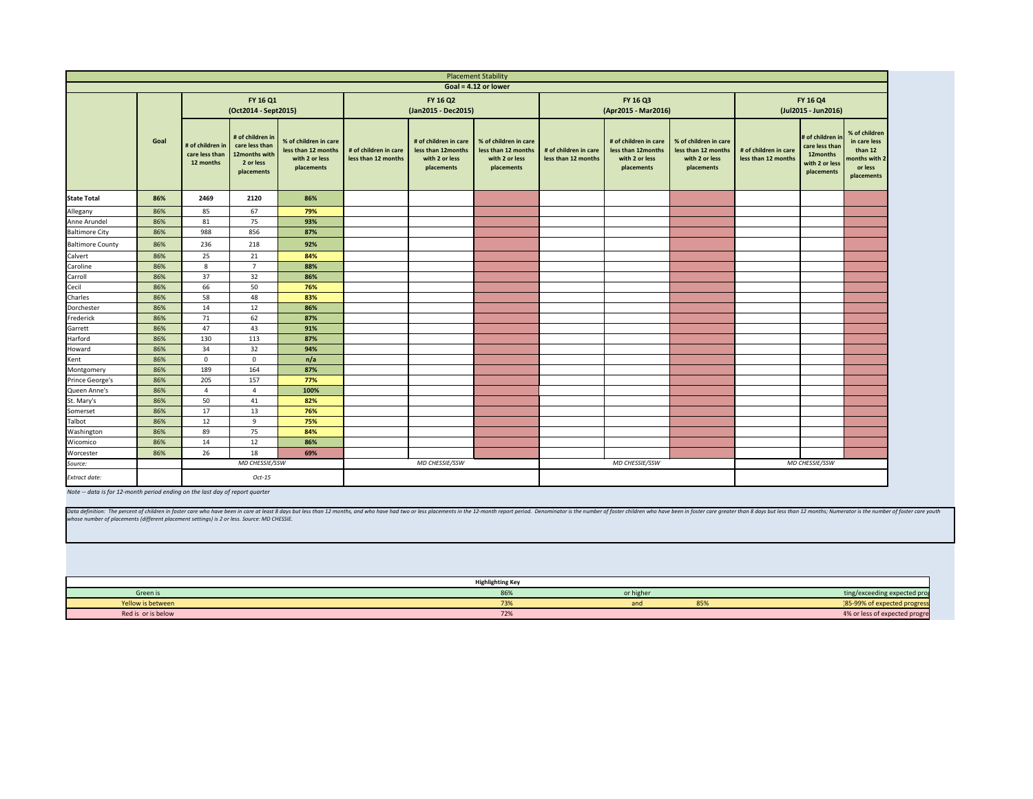<span id="page-10-0"></span>

|                              |      |                             |                                                                                                   |                                                                              |                                              |                                                                             | <b>Placement Stability</b>                                                   |                                              |                                                                             |                                                                              |                                              |                                                                               |                                                                                    |
|------------------------------|------|-----------------------------|---------------------------------------------------------------------------------------------------|------------------------------------------------------------------------------|----------------------------------------------|-----------------------------------------------------------------------------|------------------------------------------------------------------------------|----------------------------------------------|-----------------------------------------------------------------------------|------------------------------------------------------------------------------|----------------------------------------------|-------------------------------------------------------------------------------|------------------------------------------------------------------------------------|
|                              |      |                             |                                                                                                   |                                                                              |                                              |                                                                             | Goal = $4.12$ or lower                                                       |                                              |                                                                             |                                                                              |                                              |                                                                               |                                                                                    |
|                              |      |                             | FY 16 Q1<br>(Oct2014 - Sept2015)                                                                  |                                                                              |                                              | FY 16 Q2<br>(Jan2015 - Dec2015)                                             |                                                                              |                                              | FY 16 Q3<br>(Apr2015 - Mar2016)                                             | FY 16 Q4<br>(Jul2015 - Jun2016)                                              |                                              |                                                                               |                                                                                    |
|                              | Goal | care less than<br>12 months | # of children in<br># of children in   care less than<br>12months with<br>2 or less<br>placements | % of children in care<br>less than 12 months<br>with 2 or less<br>placements | # of children in care<br>less than 12 months | # of children in care<br>less than 12months<br>with 2 or less<br>placements | % of children in care<br>less than 12 months<br>with 2 or less<br>placements | # of children in care<br>less than 12 months | # of children in care<br>less than 12months<br>with 2 or less<br>placements | % of children in care<br>less than 12 months<br>with 2 or less<br>placements | # of children in care<br>less than 12 months | # of children i<br>care less than<br>12months<br>with 2 or less<br>placements | % of children<br>in care less<br>than 12<br>months with 2<br>or less<br>placements |
| <b>State Total</b>           | 86%  | 2469                        | 2120                                                                                              | 86%                                                                          |                                              |                                                                             |                                                                              |                                              |                                                                             |                                                                              |                                              |                                                                               |                                                                                    |
| Allegany                     | 86%  | 85                          | 67                                                                                                | 79%                                                                          |                                              |                                                                             |                                                                              |                                              |                                                                             |                                                                              |                                              |                                                                               |                                                                                    |
| Anne Arundel                 | 86%  | 81                          | 75                                                                                                | 93%                                                                          |                                              |                                                                             |                                                                              |                                              |                                                                             |                                                                              |                                              |                                                                               |                                                                                    |
| <b>Baltimore City</b>        | 86%  | 988                         | 856                                                                                               | 87%                                                                          |                                              |                                                                             |                                                                              |                                              |                                                                             |                                                                              |                                              |                                                                               |                                                                                    |
| <b>Baltimore County</b>      | 86%  | 236                         | 218                                                                                               | 92%                                                                          |                                              |                                                                             |                                                                              |                                              |                                                                             |                                                                              |                                              |                                                                               |                                                                                    |
| Calvert                      | 86%  | 25                          | 21                                                                                                | 84%                                                                          |                                              |                                                                             |                                                                              |                                              |                                                                             |                                                                              |                                              |                                                                               |                                                                                    |
| Caroline                     | 86%  | 8                           | $\overline{7}$                                                                                    | 88%                                                                          |                                              |                                                                             |                                                                              |                                              |                                                                             |                                                                              |                                              |                                                                               |                                                                                    |
| Carroll                      | 86%  | 37                          | 32                                                                                                | 86%                                                                          |                                              |                                                                             |                                                                              |                                              |                                                                             |                                                                              |                                              |                                                                               |                                                                                    |
| Cecil                        | 86%  | 66                          | 50                                                                                                | 76%                                                                          |                                              |                                                                             |                                                                              |                                              |                                                                             |                                                                              |                                              |                                                                               |                                                                                    |
| Charles                      | 86%  | 58                          | 48                                                                                                | 83%                                                                          |                                              |                                                                             |                                                                              |                                              |                                                                             |                                                                              |                                              |                                                                               |                                                                                    |
| Dorchester                   | 86%  | 14                          | 12                                                                                                | 86%                                                                          |                                              |                                                                             |                                                                              |                                              |                                                                             |                                                                              |                                              |                                                                               |                                                                                    |
| Frederick                    | 86%  | 71                          | 62                                                                                                | 87%                                                                          |                                              |                                                                             |                                                                              |                                              |                                                                             |                                                                              |                                              |                                                                               |                                                                                    |
| Garrett                      | 86%  | 47                          | 43                                                                                                | 91%                                                                          |                                              |                                                                             |                                                                              |                                              |                                                                             |                                                                              |                                              |                                                                               |                                                                                    |
| <b>Harford</b>               | 86%  | 130                         | 113                                                                                               | 87%                                                                          |                                              |                                                                             |                                                                              |                                              |                                                                             |                                                                              |                                              |                                                                               |                                                                                    |
| Howard<br>Kent<br>Montgomery | 86%  | 34                          | 32                                                                                                | 94%                                                                          |                                              |                                                                             |                                                                              |                                              |                                                                             |                                                                              |                                              |                                                                               |                                                                                    |
|                              | 86%  | $\mathbf{0}$                | $\overline{0}$                                                                                    | n/a                                                                          |                                              |                                                                             |                                                                              |                                              |                                                                             |                                                                              |                                              |                                                                               |                                                                                    |
|                              | 86%  | 189                         | 164                                                                                               | 87%                                                                          |                                              |                                                                             |                                                                              |                                              |                                                                             |                                                                              |                                              |                                                                               |                                                                                    |
| Prince George's              | 86%  | 205                         | 157                                                                                               | 77%                                                                          |                                              |                                                                             |                                                                              |                                              |                                                                             |                                                                              |                                              |                                                                               |                                                                                    |
| Queen Anne's<br>St. Mary's   | 86%  | Δ                           | $\Delta$                                                                                          | 100%                                                                         |                                              |                                                                             |                                                                              |                                              |                                                                             |                                                                              |                                              |                                                                               |                                                                                    |
|                              | 86%  | 50                          | 41                                                                                                | 82%                                                                          |                                              |                                                                             |                                                                              |                                              |                                                                             |                                                                              |                                              |                                                                               |                                                                                    |
| Somerset                     | 86%  | 17                          | 13                                                                                                | 76%                                                                          |                                              |                                                                             |                                                                              |                                              |                                                                             |                                                                              |                                              |                                                                               |                                                                                    |
| Talbot                       | 86%  | 12                          | 9                                                                                                 | 75%                                                                          |                                              |                                                                             |                                                                              |                                              |                                                                             |                                                                              |                                              |                                                                               |                                                                                    |
| Washington                   | 86%  | 89                          | 75                                                                                                | 84%                                                                          |                                              |                                                                             |                                                                              |                                              |                                                                             |                                                                              |                                              |                                                                               |                                                                                    |
| Wicomico                     | 86%  | 14                          | 12                                                                                                | 86%                                                                          |                                              |                                                                             |                                                                              |                                              |                                                                             |                                                                              |                                              |                                                                               |                                                                                    |
| Worcester                    | 86%  | 26                          | 18                                                                                                | 69%                                                                          |                                              |                                                                             |                                                                              |                                              |                                                                             |                                                                              |                                              |                                                                               |                                                                                    |
| Source:                      |      |                             | MD CHESSIE/SSW                                                                                    |                                                                              |                                              | MD CHESSIE/SSW                                                              |                                                                              |                                              | MD CHESSIE/SSW                                                              |                                                                              |                                              | MD CHESSIE/SSW                                                                |                                                                                    |
|                              |      |                             | Oct-15                                                                                            |                                                                              |                                              |                                                                             |                                                                              |                                              |                                                                             |                                                                              |                                              |                                                                               |                                                                                    |

| ity                                                  |                                              |                                                                             |                                                                                                                                                                             |                                              |                                                                                |                                                                                    |  |  |  |
|------------------------------------------------------|----------------------------------------------|-----------------------------------------------------------------------------|-----------------------------------------------------------------------------------------------------------------------------------------------------------------------------|----------------------------------------------|--------------------------------------------------------------------------------|------------------------------------------------------------------------------------|--|--|--|
| ver                                                  |                                              |                                                                             |                                                                                                                                                                             |                                              |                                                                                |                                                                                    |  |  |  |
|                                                      |                                              | FY 16 Q3<br>(Apr2015 - Mar2016)                                             | FY 16 Q4<br>(Jul2015 - Jun2016)                                                                                                                                             |                                              |                                                                                |                                                                                    |  |  |  |
| Idren in care<br>n 12 months<br>2 or less<br>cements | # of children in care<br>less than 12 months | # of children in care<br>less than 12months<br>with 2 or less<br>placements | % of children in care<br>less than 12 months<br>with 2 or less<br>placements                                                                                                | # of children in care<br>less than 12 months | # of children in<br>care less than<br>12months<br>with 2 or less<br>placements | % of children<br>in care less<br>than 12<br>months with 2<br>or less<br>placements |  |  |  |
|                                                      |                                              |                                                                             |                                                                                                                                                                             |                                              |                                                                                |                                                                                    |  |  |  |
|                                                      |                                              |                                                                             |                                                                                                                                                                             |                                              |                                                                                |                                                                                    |  |  |  |
|                                                      |                                              |                                                                             |                                                                                                                                                                             |                                              |                                                                                |                                                                                    |  |  |  |
|                                                      |                                              |                                                                             |                                                                                                                                                                             |                                              |                                                                                |                                                                                    |  |  |  |
|                                                      |                                              |                                                                             |                                                                                                                                                                             |                                              |                                                                                |                                                                                    |  |  |  |
|                                                      |                                              |                                                                             |                                                                                                                                                                             |                                              |                                                                                |                                                                                    |  |  |  |
|                                                      |                                              |                                                                             |                                                                                                                                                                             |                                              |                                                                                |                                                                                    |  |  |  |
|                                                      |                                              |                                                                             |                                                                                                                                                                             |                                              |                                                                                |                                                                                    |  |  |  |
|                                                      |                                              |                                                                             |                                                                                                                                                                             |                                              |                                                                                |                                                                                    |  |  |  |
|                                                      |                                              |                                                                             |                                                                                                                                                                             |                                              |                                                                                |                                                                                    |  |  |  |
|                                                      |                                              |                                                                             |                                                                                                                                                                             |                                              |                                                                                |                                                                                    |  |  |  |
|                                                      |                                              |                                                                             |                                                                                                                                                                             |                                              |                                                                                |                                                                                    |  |  |  |
|                                                      |                                              |                                                                             |                                                                                                                                                                             |                                              |                                                                                |                                                                                    |  |  |  |
|                                                      |                                              |                                                                             |                                                                                                                                                                             |                                              |                                                                                |                                                                                    |  |  |  |
|                                                      |                                              |                                                                             |                                                                                                                                                                             |                                              |                                                                                |                                                                                    |  |  |  |
|                                                      |                                              |                                                                             |                                                                                                                                                                             |                                              |                                                                                |                                                                                    |  |  |  |
|                                                      |                                              |                                                                             |                                                                                                                                                                             |                                              |                                                                                |                                                                                    |  |  |  |
|                                                      |                                              |                                                                             |                                                                                                                                                                             |                                              |                                                                                |                                                                                    |  |  |  |
|                                                      |                                              |                                                                             |                                                                                                                                                                             |                                              |                                                                                |                                                                                    |  |  |  |
|                                                      |                                              |                                                                             |                                                                                                                                                                             |                                              |                                                                                |                                                                                    |  |  |  |
|                                                      |                                              |                                                                             |                                                                                                                                                                             |                                              |                                                                                |                                                                                    |  |  |  |
|                                                      |                                              | MD CHESSIE/SSW                                                              |                                                                                                                                                                             |                                              | MD CHESSIE/SSW                                                                 |                                                                                    |  |  |  |
|                                                      |                                              |                                                                             |                                                                                                                                                                             |                                              |                                                                                |                                                                                    |  |  |  |
|                                                      |                                              |                                                                             |                                                                                                                                                                             |                                              |                                                                                |                                                                                    |  |  |  |
|                                                      |                                              |                                                                             |                                                                                                                                                                             |                                              |                                                                                |                                                                                    |  |  |  |
|                                                      |                                              |                                                                             | eport period. Denominator is the number of foster children who have been in foster care greater than 8 days but less than 12 months; Numerator is the number of foster care |                                              |                                                                                |                                                                                    |  |  |  |
|                                                      |                                              |                                                                             |                                                                                                                                                                             |                                              |                                                                                |                                                                                    |  |  |  |
|                                                      |                                              |                                                                             |                                                                                                                                                                             |                                              |                                                                                |                                                                                    |  |  |  |
|                                                      |                                              |                                                                             |                                                                                                                                                                             |                                              |                                                                                |                                                                                    |  |  |  |
|                                                      |                                              |                                                                             |                                                                                                                                                                             |                                              |                                                                                |                                                                                    |  |  |  |
| ing Key                                              |                                              |                                                                             |                                                                                                                                                                             |                                              |                                                                                |                                                                                    |  |  |  |
| 86%                                                  |                                              | or higher                                                                   |                                                                                                                                                                             |                                              |                                                                                | ting/exceeding expected pro                                                        |  |  |  |
|                                                      |                                              | and                                                                         | 85%                                                                                                                                                                         |                                              |                                                                                | 85-99% of expected progres                                                         |  |  |  |
| 73%<br>72%                                           |                                              |                                                                             |                                                                                                                                                                             |                                              |                                                                                | 4% or less of expected progre                                                      |  |  |  |

|                    | <b>Highlighting Key</b> |           |     |                                    |
|--------------------|-------------------------|-----------|-----|------------------------------------|
| Green is           | 86%                     | or higher |     | ting/exceeding expected pro        |
| Yellow is between  | 73%                     | dilu      | 85% | 95.00%<br>ed progres<br>, of expec |
| Red is or is below | 720/<br>12%             |           |     | 4% or less of expected progre      |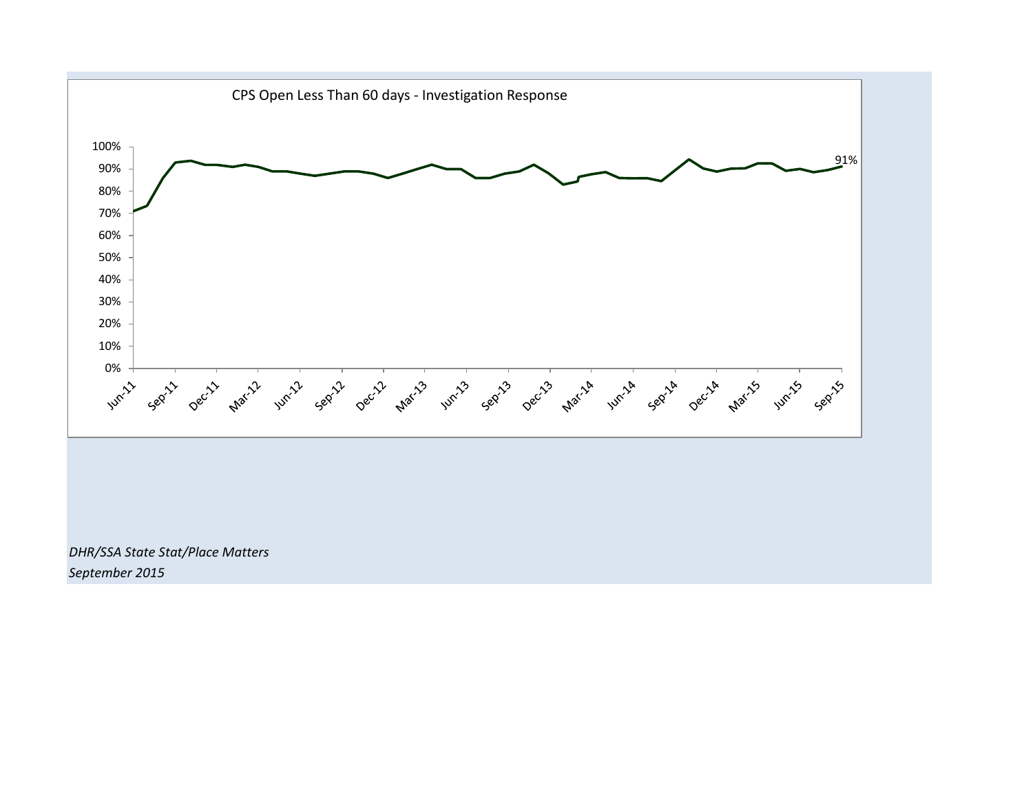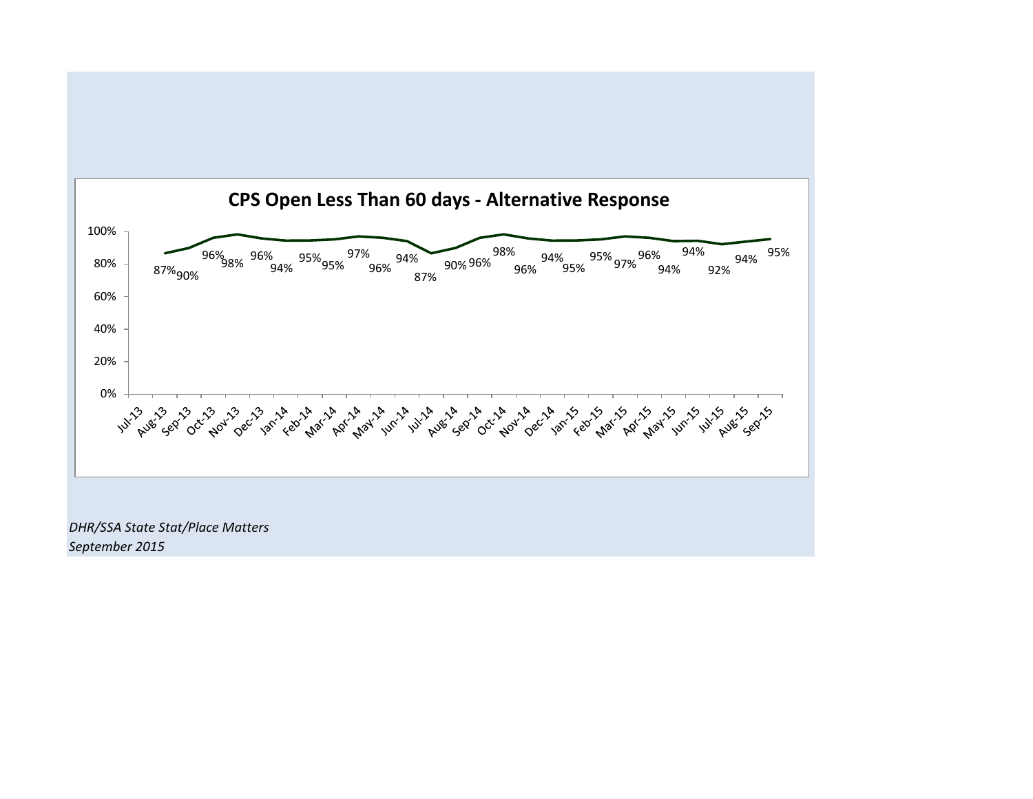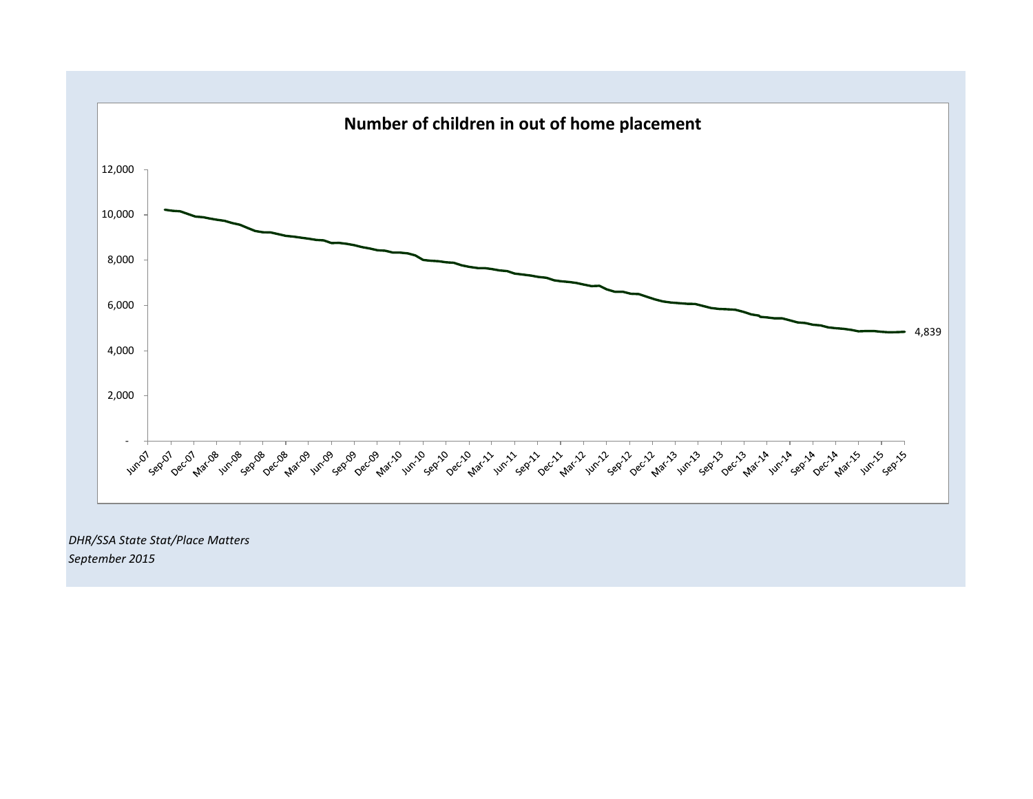

*September 2015*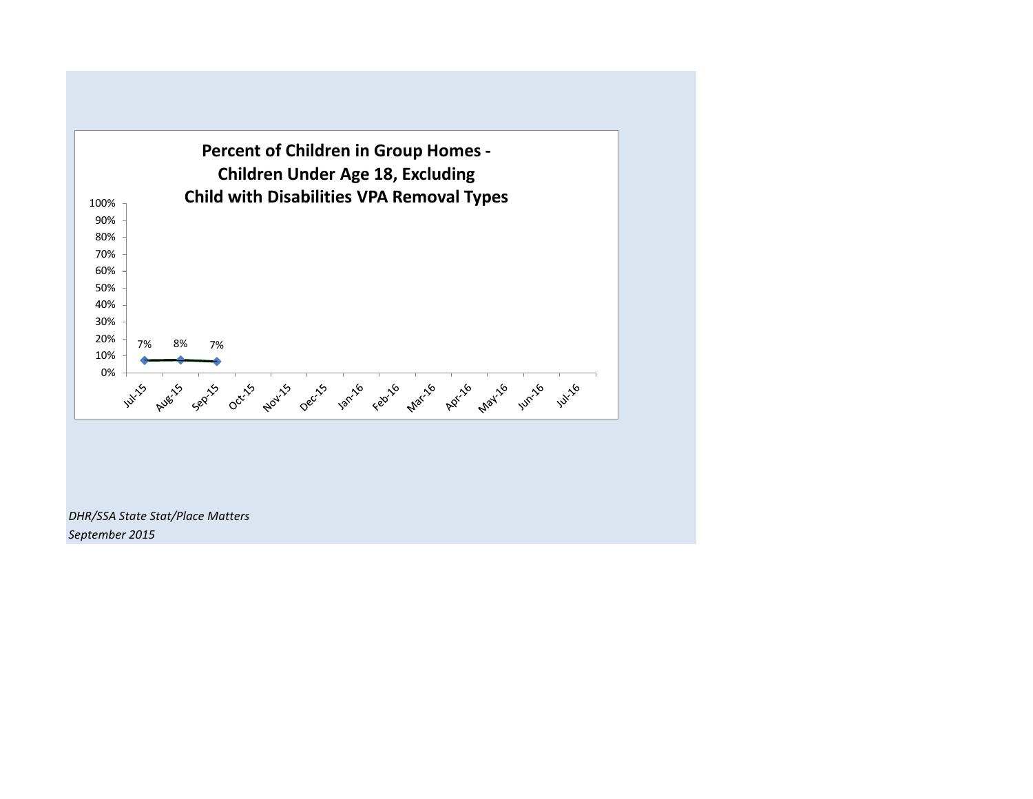

*DHR/SSA State Stat/Place Matters September 2015*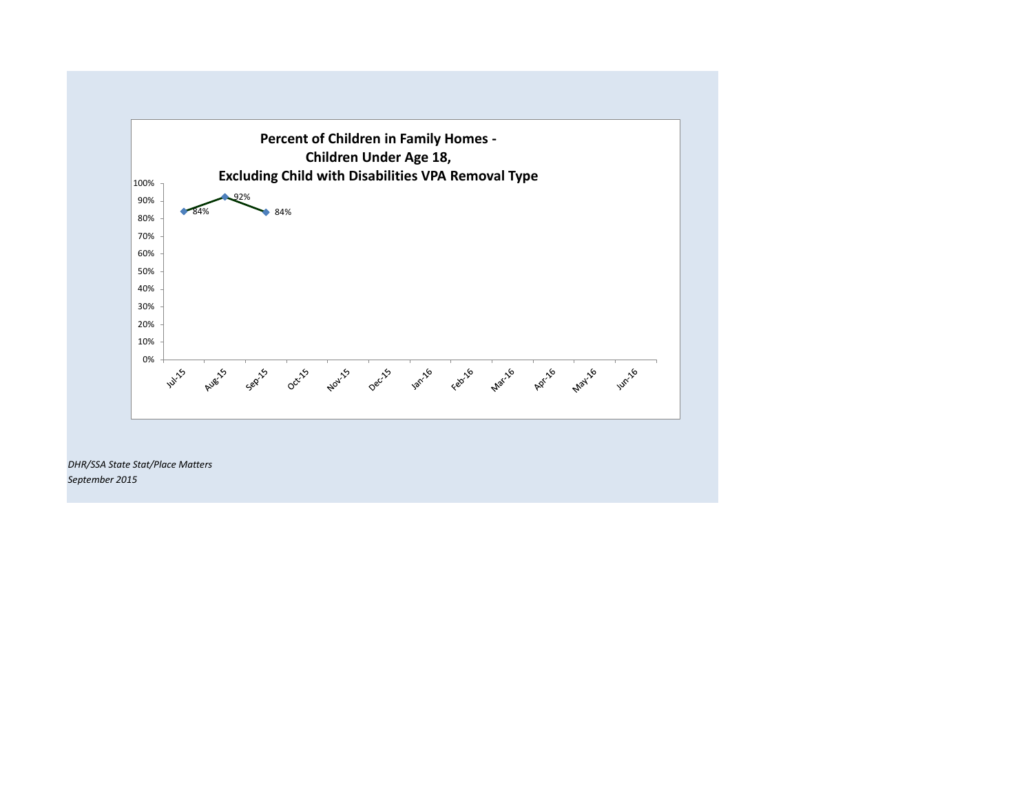

*DHR/SSA State Stat/Place Matters September 2015*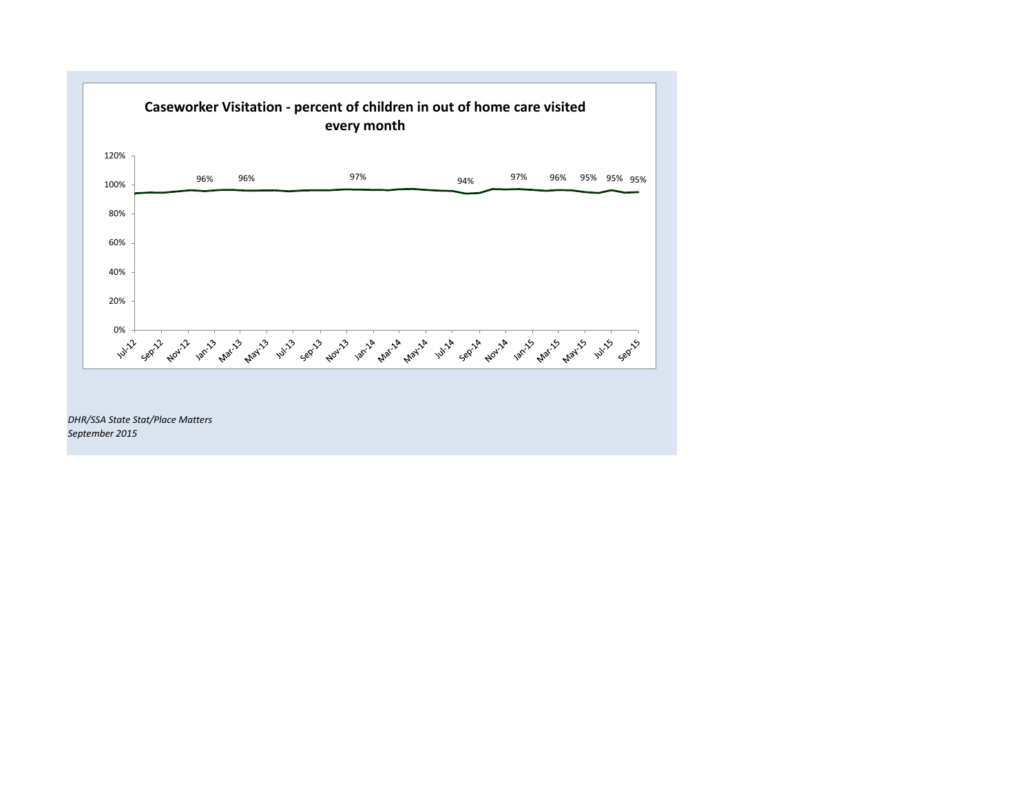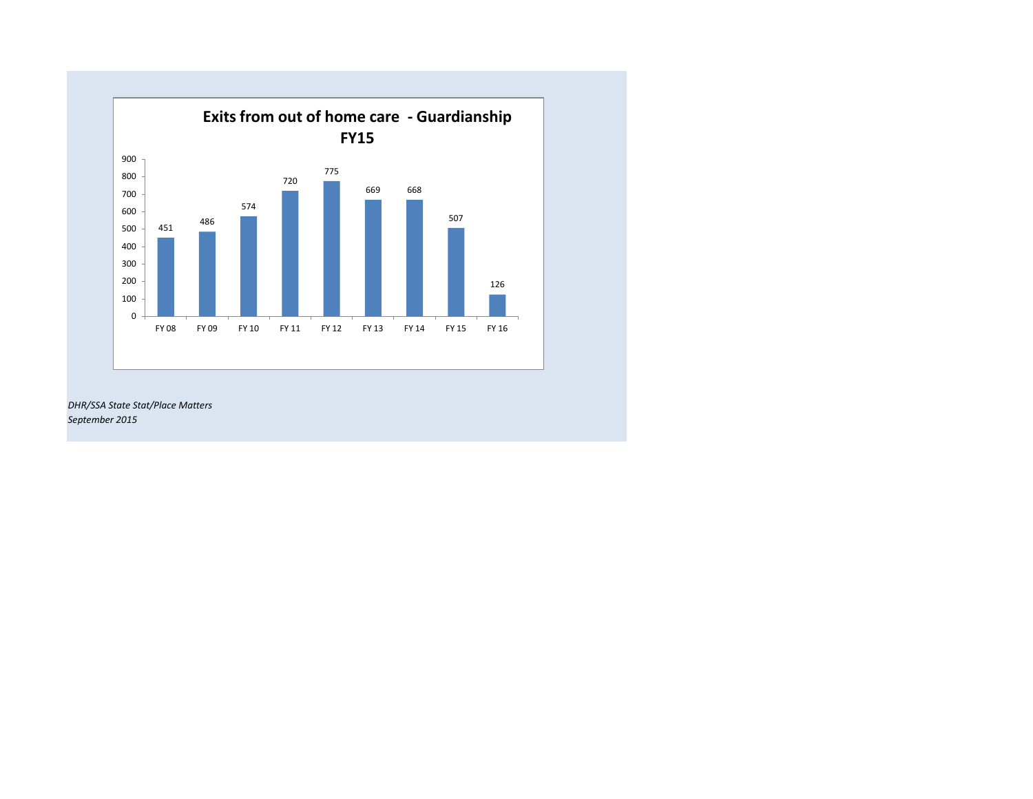

*DHR/SSA State Stat/Place Matters September 2015*